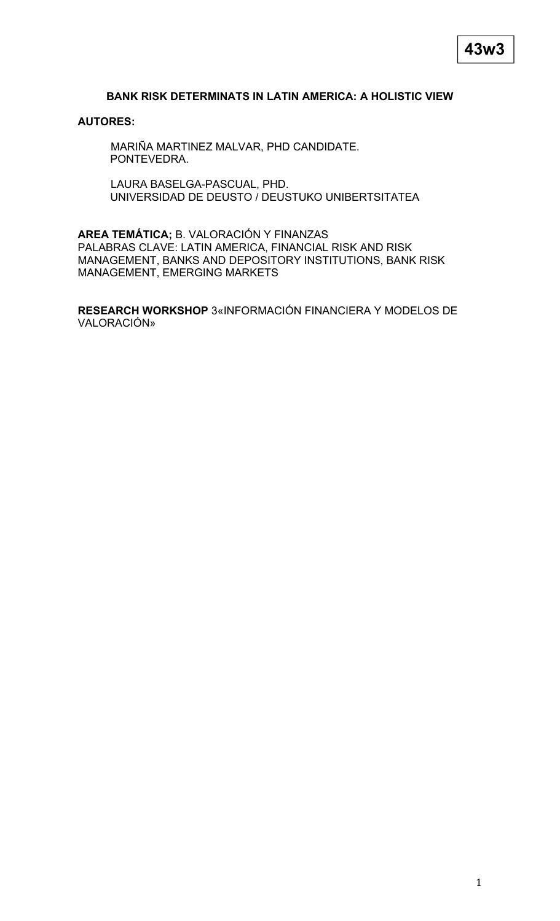# **BANK RISK DETERMINATS IN LATIN AMERICA: A HOLISTIC VIEW**

### **AUTORES:**

MARIÑA MARTINEZ MALVAR, PHD CANDIDATE. PONTEVEDRA.

LAURA BASELGA-PASCUAL, PHD. UNIVERSIDAD DE DEUSTO / DEUSTUKO UNIBERTSITATEA

**AREA TEMÁTICA;** B. VALORACIÓN Y FINANZAS PALABRAS CLAVE: LATIN AMERICA, FINANCIAL RISK AND RISK MANAGEMENT, BANKS AND DEPOSITORY INSTITUTIONS, BANK RISK MANAGEMENT, EMERGING MARKETS

**RESEARCH WORKSHOP** 3«INFORMACIÓN FINANCIERA Y MODELOS DE VALORACIÓN»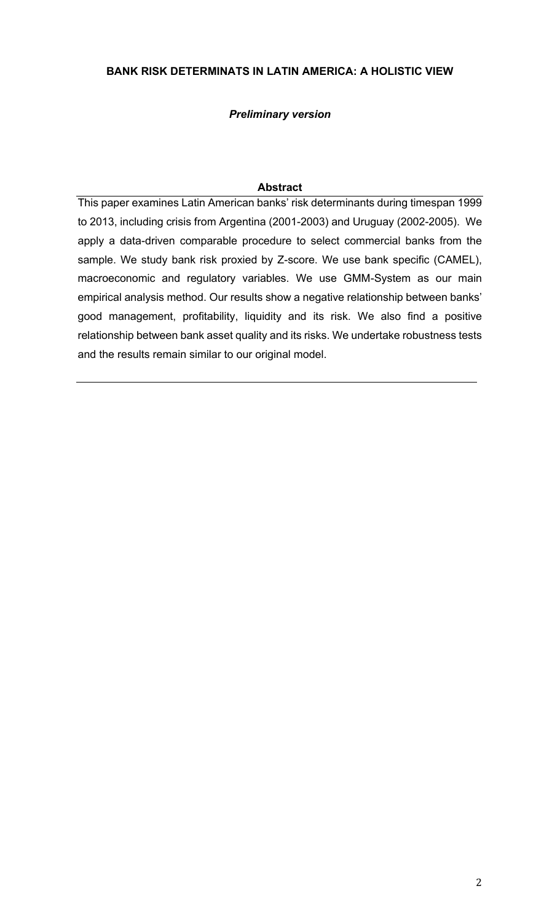# **BANK RISK DETERMINATS IN LATIN AMERICA: A HOLISTIC VIEW**

# *Preliminary version*

## **Abstract**

This paper examines Latin American banks' risk determinants during timespan 1999 to 2013, including crisis from Argentina (2001-2003) and Uruguay (2002-2005). We apply a data-driven comparable procedure to select commercial banks from the sample. We study bank risk proxied by Z-score. We use bank specific (CAMEL), macroeconomic and regulatory variables. We use GMM-System as our main empirical analysis method. Our results show a negative relationship between banks' good management, profitability, liquidity and its risk. We also find a positive relationship between bank asset quality and its risks. We undertake robustness tests and the results remain similar to our original model.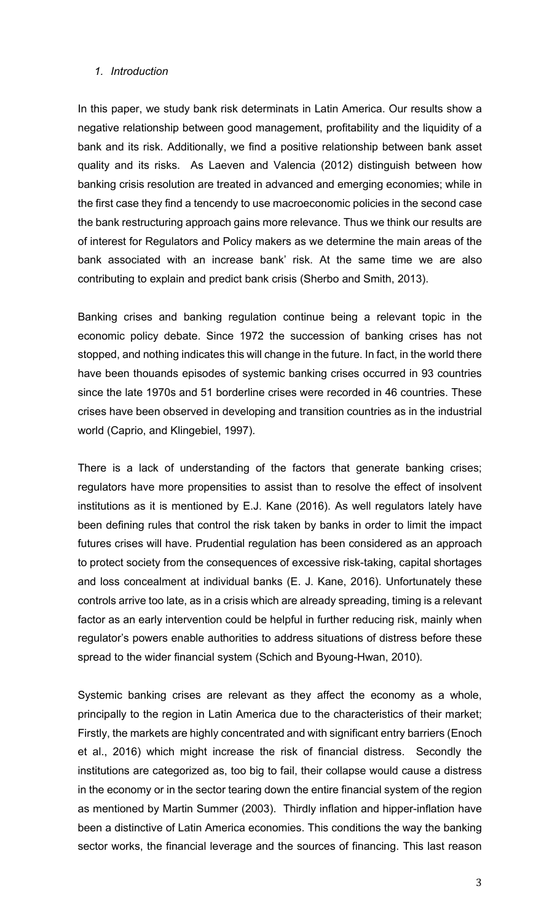### *1. Introduction*

In this paper, we study bank risk determinats in Latin America. Our results show a negative relationship between good management, profitability and the liquidity of a bank and its risk. Additionally, we find a positive relationship between bank asset quality and its risks. As Laeven and Valencia (2012) distinguish between how banking crisis resolution are treated in advanced and emerging economies; while in the first case they find a tencendy to use macroeconomic policies in the second case the bank restructuring approach gains more relevance. Thus we think our results are of interest for Regulators and Policy makers as we determine the main areas of the bank associated with an increase bank' risk. At the same time we are also contributing to explain and predict bank crisis (Sherbo and Smith, 2013).

Banking crises and banking regulation continue being a relevant topic in the economic policy debate. Since 1972 the succession of banking crises has not stopped, and nothing indicates this will change in the future. In fact, in the world there have been thouands episodes of systemic banking crises occurred in 93 countries since the late 1970s and 51 borderline crises were recorded in 46 countries. These crises have been observed in developing and transition countries as in the industrial world (Caprio, and Klingebiel, 1997).

There is a lack of understanding of the factors that generate banking crises; regulators have more propensities to assist than to resolve the effect of insolvent institutions as it is mentioned by E.J. Kane (2016). As well regulators lately have been defining rules that control the risk taken by banks in order to limit the impact futures crises will have. Prudential regulation has been considered as an approach to protect society from the consequences of excessive risk-taking, capital shortages and loss concealment at individual banks (E. J. Kane, 2016). Unfortunately these controls arrive too late, as in a crisis which are already spreading, timing is a relevant factor as an early intervention could be helpful in further reducing risk, mainly when regulator's powers enable authorities to address situations of distress before these spread to the wider financial system (Schich and Byoung-Hwan, 2010).

Systemic banking crises are relevant as they affect the economy as a whole, principally to the region in Latin America due to the characteristics of their market; Firstly, the markets are highly concentrated and with significant entry barriers (Enoch et al., 2016) which might increase the risk of financial distress. Secondly the institutions are categorized as, too big to fail, their collapse would cause a distress in the economy or in the sector tearing down the entire financial system of the region as mentioned by Martin Summer (2003). Thirdly inflation and hipper-inflation have been a distinctive of Latin America economies. This conditions the way the banking sector works, the financial leverage and the sources of financing. This last reason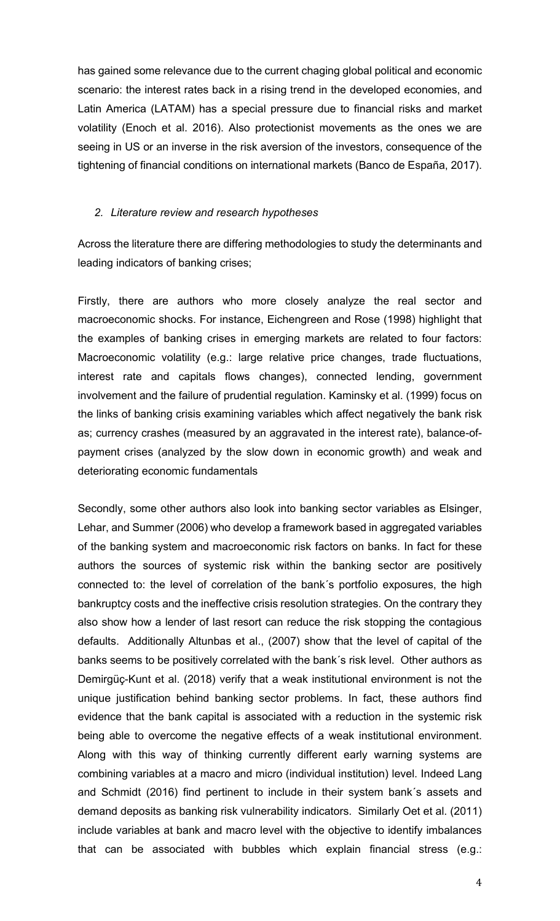has gained some relevance due to the current chaging global political and economic scenario: the interest rates back in a rising trend in the developed economies, and Latin America (LATAM) has a special pressure due to financial risks and market volatility (Enoch et al. 2016). Also protectionist movements as the ones we are seeing in US or an inverse in the risk aversion of the investors, consequence of the tightening of financial conditions on international markets (Banco de España, 2017).

### *2. Literature review and research hypotheses*

Across the literature there are differing methodologies to study the determinants and leading indicators of banking crises;

Firstly, there are authors who more closely analyze the real sector and macroeconomic shocks. For instance, Eichengreen and Rose (1998) highlight that the examples of banking crises in emerging markets are related to four factors: Macroeconomic volatility (e.g.: large relative price changes, trade fluctuations, interest rate and capitals flows changes), connected lending, government involvement and the failure of prudential regulation. Kaminsky et al. (1999) focus on the links of banking crisis examining variables which affect negatively the bank risk as; currency crashes (measured by an aggravated in the interest rate), balance-ofpayment crises (analyzed by the slow down in economic growth) and weak and deteriorating economic fundamentals

Secondly, some other authors also look into banking sector variables as Elsinger, Lehar, and Summer (2006) who develop a framework based in aggregated variables of the banking system and macroeconomic risk factors on banks. In fact for these authors the sources of systemic risk within the banking sector are positively connected to: the level of correlation of the bank´s portfolio exposures, the high bankruptcy costs and the ineffective crisis resolution strategies. On the contrary they also show how a lender of last resort can reduce the risk stopping the contagious defaults. Additionally Altunbas et al., (2007) show that the level of capital of the banks seems to be positively correlated with the bank´s risk level. Other authors as Demirgüç-Kunt et al. (2018) verify that a weak institutional environment is not the unique justification behind banking sector problems. In fact, these authors find evidence that the bank capital is associated with a reduction in the systemic risk being able to overcome the negative effects of a weak institutional environment. Along with this way of thinking currently different early warning systems are combining variables at a macro and micro (individual institution) level. Indeed Lang and Schmidt (2016) find pertinent to include in their system bank´s assets and demand deposits as banking risk vulnerability indicators. Similarly Oet et al. (2011) include variables at bank and macro level with the objective to identify imbalances that can be associated with bubbles which explain financial stress (e.g.: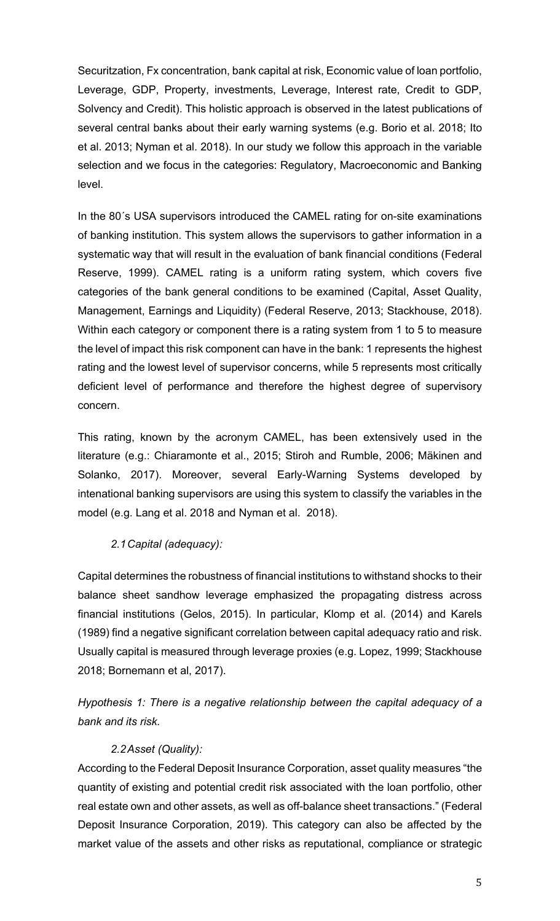Securitzation, Fx concentration, bank capital at risk, Economic value of loan portfolio, Leverage, GDP, Property, investments, Leverage, Interest rate, Credit to GDP, Solvency and Credit). This holistic approach is observed in the latest publications of several central banks about their early warning systems (e.g. Borio et al. 2018; Ito et al. 2013; Nyman et al. 2018). In our study we follow this approach in the variable selection and we focus in the categories: Regulatory, Macroeconomic and Banking level.

In the 80´s USA supervisors introduced the CAMEL rating for on-site examinations of banking institution. This system allows the supervisors to gather information in a systematic way that will result in the evaluation of bank financial conditions (Federal Reserve, 1999). CAMEL rating is a uniform rating system, which covers five categories of the bank general conditions to be examined (Capital, Asset Quality, Management, Earnings and Liquidity) (Federal Reserve, 2013; Stackhouse, 2018). Within each category or component there is a rating system from 1 to 5 to measure the level of impact this risk component can have in the bank: 1 represents the highest rating and the lowest level of supervisor concerns, while 5 represents most critically deficient level of performance and therefore the highest degree of supervisory concern.

This rating, known by the acronym CAMEL, has been extensively used in the literature (e.g.: Chiaramonte et al., 2015; Stiroh and Rumble, 2006; Mäkinen and Solanko, 2017). Moreover, several Early-Warning Systems developed by intenational banking supervisors are using this system to classify the variables in the model (e.g. Lang et al. 2018 and Nyman et al. 2018).

# *2.1Capital (adequacy):*

Capital determines the robustness of financial institutions to withstand shocks to their balance sheet sandhow leverage emphasized the propagating distress across financial institutions (Gelos, 2015). In particular, Klomp et al. (2014) and Karels (1989) find a negative significant correlation between capital adequacy ratio and risk. Usually capital is measured through leverage proxies (e.g. Lopez, 1999; Stackhouse 2018; Bornemann et al, 2017).

*Hypothesis 1: There is a negative relationship between the capital adequacy of a bank and its risk.*

# *2.2Asset (Quality):*

According to the Federal Deposit Insurance Corporation, asset quality measures "the quantity of existing and potential credit risk associated with the loan portfolio, other real estate own and other assets, as well as off-balance sheet transactions." (Federal Deposit Insurance Corporation, 2019). This category can also be affected by the market value of the assets and other risks as reputational, compliance or strategic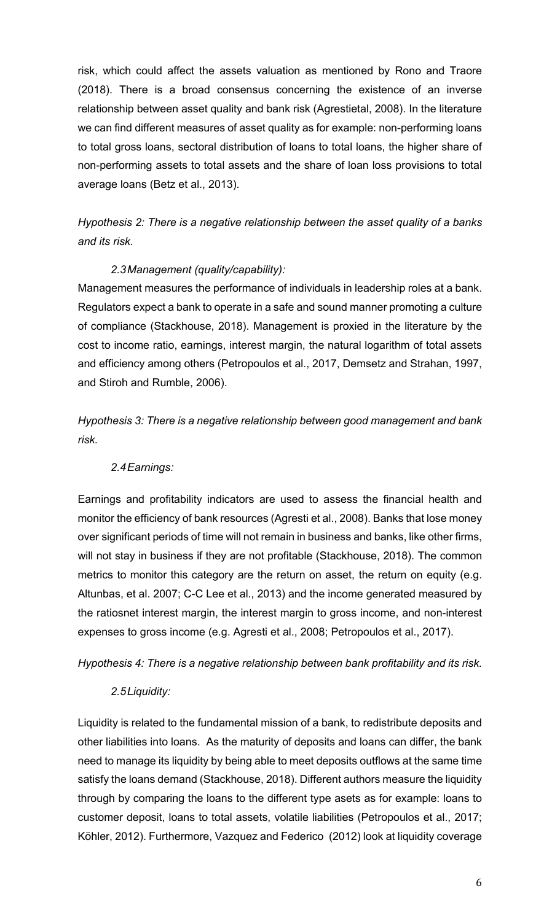risk, which could affect the assets valuation as mentioned by Rono and Traore (2018). There is a broad consensus concerning the existence of an inverse relationship between asset quality and bank risk (Agrestietal, 2008). In the literature we can find different measures of asset quality as for example: non-performing loans to total gross loans, sectoral distribution of loans to total loans, the higher share of non-performing assets to total assets and the share of loan loss provisions to total average loans (Betz et al., 2013).

# *Hypothesis 2: There is a negative relationship between the asset quality of a banks and its risk.*

# *2.3Management (quality/capability):*

Management measures the performance of individuals in leadership roles at a bank. Regulators expect a bank to operate in a safe and sound manner promoting a culture of compliance (Stackhouse, 2018). Management is proxied in the literature by the cost to income ratio, earnings, interest margin, the natural logarithm of total assets and efficiency among others (Petropoulos et al., 2017, Demsetz and Strahan, 1997, and Stiroh and Rumble, 2006).

*Hypothesis 3: There is a negative relationship between good management and bank risk.*

# *2.4Earnings:*

Earnings and profitability indicators are used to assess the financial health and monitor the efficiency of bank resources (Agresti et al., 2008). Banks that lose money over significant periods of time will not remain in business and banks, like other firms, will not stay in business if they are not profitable (Stackhouse, 2018). The common metrics to monitor this category are the return on asset, the return on equity (e.g. Altunbas, et al. 2007; C-C Lee et al., 2013) and the income generated measured by the ratiosnet interest margin, the interest margin to gross income, and non-interest expenses to gross income (e.g. Agresti et al., 2008; Petropoulos et al., 2017).

*Hypothesis 4: There is a negative relationship between bank profitability and its risk.*

# *2.5Liquidity:*

Liquidity is related to the fundamental mission of a bank, to redistribute deposits and other liabilities into loans. As the maturity of deposits and loans can differ, the bank need to manage its liquidity by being able to meet deposits outflows at the same time satisfy the loans demand (Stackhouse, 2018). Different authors measure the liquidity through by comparing the loans to the different type asets as for example: loans to customer deposit, loans to total assets, volatile liabilities (Petropoulos et al., 2017; Köhler, 2012). Furthermore, Vazquez and Federico (2012) look at liquidity coverage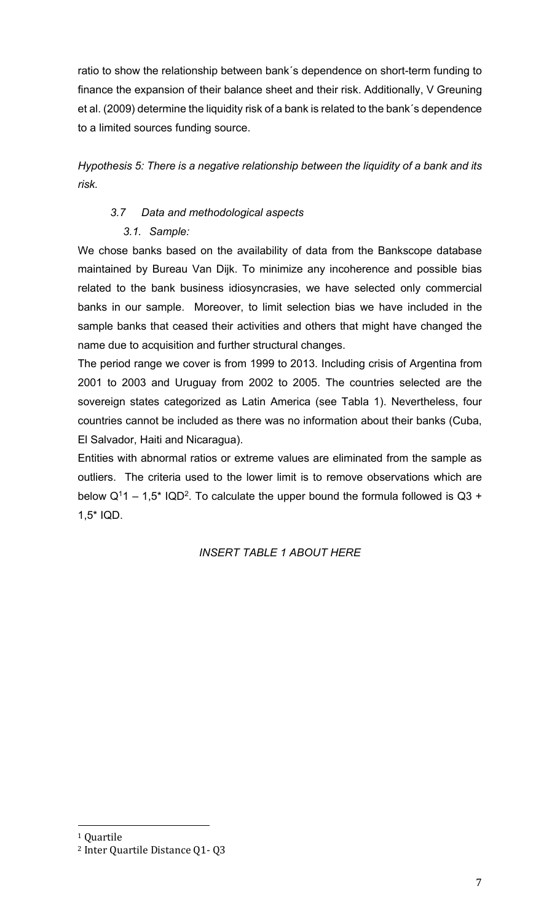ratio to show the relationship between bank´s dependence on short-term funding to finance the expansion of their balance sheet and their risk. Additionally, V Greuning et al. (2009) determine the liquidity risk of a bank is related to the bank´s dependence to a limited sources funding source.

*Hypothesis 5: There is a negative relationship between the liquidity of a bank and its risk.*

# *3.7 Data and methodological aspects*

# *3.1. Sample:*

We chose banks based on the availability of data from the Bankscope database maintained by Bureau Van Dijk. To minimize any incoherence and possible bias related to the bank business idiosyncrasies, we have selected only commercial banks in our sample. Moreover, to limit selection bias we have included in the sample banks that ceased their activities and others that might have changed the name due to acquisition and further structural changes.

The period range we cover is from 1999 to 2013. Including crisis of Argentina from 2001 to 2003 and Uruguay from 2002 to 2005. The countries selected are the sovereign states categorized as Latin America (see Tabla 1). Nevertheless, four countries cannot be included as there was no information about their banks (Cuba, El Salvador, Haiti and Nicaragua).

Entities with abnormal ratios or extreme values are eliminated from the sample as outliers. The criteria used to the lower limit is to remove observations which are below  $Q^1$ 1 – 1,5<sup>\*</sup> IQD<sup>2</sup>. To calculate the upper bound the formula followed is Q3 + 1,5\* IQD.

# *INSERT TABLE 1 ABOUT HERE*

<u>.</u>

<sup>1</sup> Quartile

<sup>2</sup> Inter Quartile Distance Q1- Q3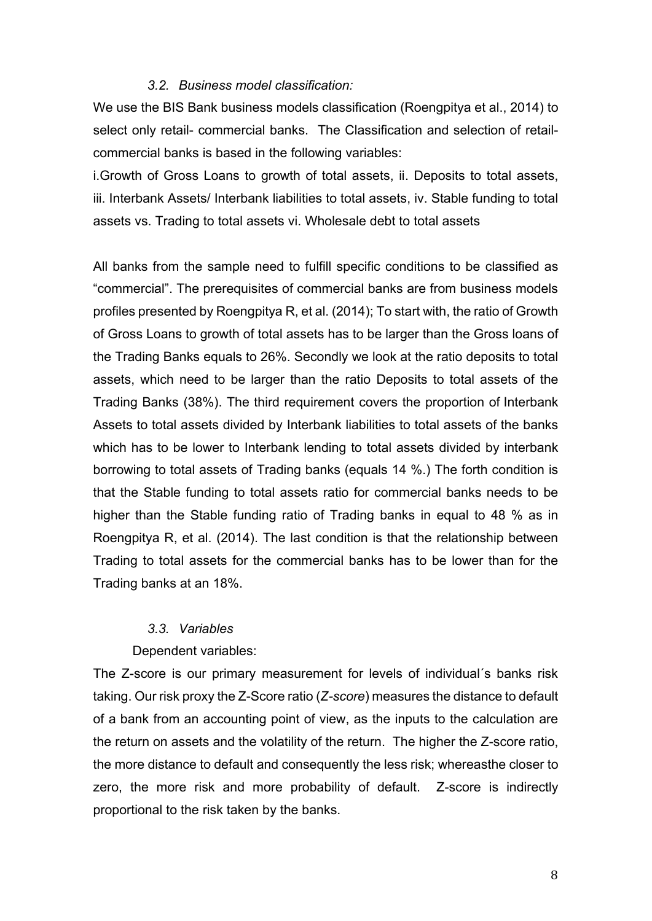#### *3.2. Business model classification:*

We use the BIS Bank business models classification (Roengpitya et al., 2014) to select only retail- commercial banks. The Classification and selection of retailcommercial banks is based in the following variables:

i.Growth of Gross Loans to growth of total assets, ii. Deposits to total assets, iii. Interbank Assets/ Interbank liabilities to total assets, iv. Stable funding to total assets vs. Trading to total assets vi. Wholesale debt to total assets

All banks from the sample need to fulfill specific conditions to be classified as "commercial". The prerequisites of commercial banks are from business models profiles presented by Roengpitya R, et al. (2014); To start with, the ratio of Growth of Gross Loans to growth of total assets has to be larger than the Gross loans of the Trading Banks equals to 26%. Secondly we look at the ratio deposits to total assets, which need to be larger than the ratio Deposits to total assets of the Trading Banks (38%). The third requirement covers the proportion of Interbank Assets to total assets divided by Interbank liabilities to total assets of the banks which has to be lower to Interbank lending to total assets divided by interbank borrowing to total assets of Trading banks (equals 14 %.) The forth condition is that the Stable funding to total assets ratio for commercial banks needs to be higher than the Stable funding ratio of Trading banks in equal to 48 % as in Roengpitya R, et al. (2014). The last condition is that the relationship between Trading to total assets for the commercial banks has to be lower than for the Trading banks at an 18%.

#### *3.3. Variables*

Dependent variables:

The Z-score is our primary measurement for levels of individual´s banks risk taking. Our risk proxy the Z-Score ratio (*Z-score*) measures the distance to default of a bank from an accounting point of view, as the inputs to the calculation are the return on assets and the volatility of the return. The higher the Z-score ratio, the more distance to default and consequently the less risk; whereasthe closer to zero, the more risk and more probability of default. Z-score is indirectly proportional to the risk taken by the banks.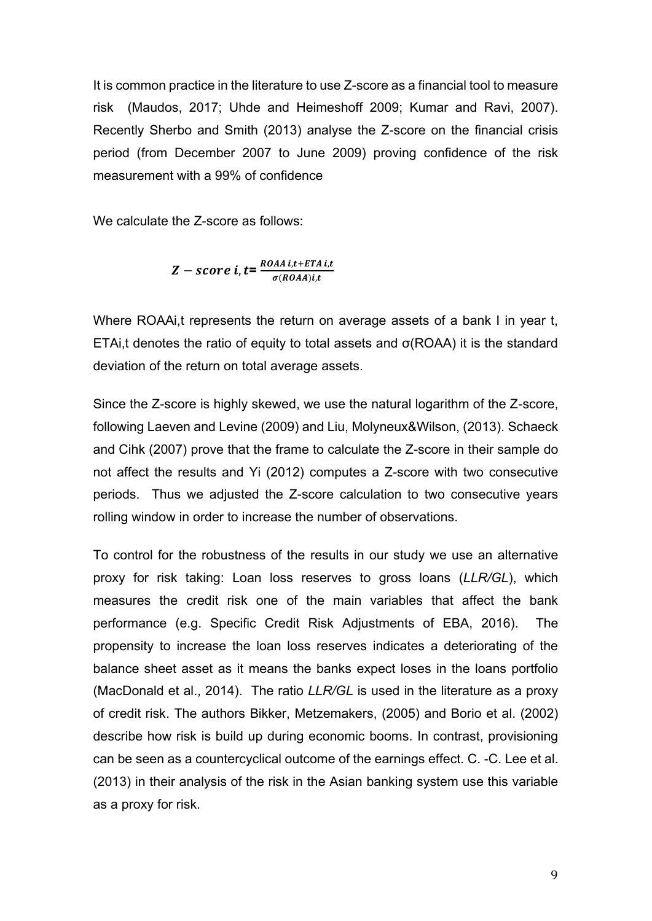It is common practice in the literature to use Z-score as a financial tool to measure risk (Maudos, 2017; Uhde and Heimeshoff 2009; Kumar and Ravi, 2007). Recently Sherbo and Smith (2013) analyse the Z-score on the financial crisis period (from December 2007 to June 2009) proving confidence of the risk measurement with a 99% of confidence

We calculate the Z-score as follows:

$$
Z-score \, i, t = \frac{ROAA \, i, t + ETA \, i, t}{\sigma (ROAA) \, i, t}
$$

Where ROAA<sub>i</sub>, t represents the return on average assets of a bank I in year t, ETAi,t denotes the ratio of equity to total assets and  $\sigma$ (ROAA) it is the standard deviation of the return on total average assets.

Since the Z-score is highly skewed, we use the natural logarithm of the Z-score, following Laeven and Levine (2009) and Liu, Molyneux&Wilson, (2013). Schaeck and Cihk (2007) prove that the frame to calculate the Z-score in their sample do not affect the results and Yi (2012) computes a Z-score with two consecutive periods. Thus we adjusted the Z-score calculation to two consecutive years rolling window in order to increase the number of observations.

To control for the robustness of the results in our study we use an alternative proxy for risk taking: Loan loss reserves to gross loans (*LLR/GL*), which measures the credit risk one of the main variables that affect the bank performance (e.g. Specific Credit Risk Adjustments of EBA, 2016). The propensity to increase the loan loss reserves indicates a deteriorating of the balance sheet asset as it means the banks expect loses in the loans portfolio (MacDonald et al., 2014). The ratio *LLR/GL* is used in the literature as a proxy of credit risk. The authors Bikker, Metzemakers, (2005) and Borio et al. (2002) describe how risk is build up during economic booms. In contrast, provisioning can be seen as a countercyclical outcome of the earnings effect. C. -C. Lee et al. (2013) in their analysis of the risk in the Asian banking system use this variable as a proxy for risk.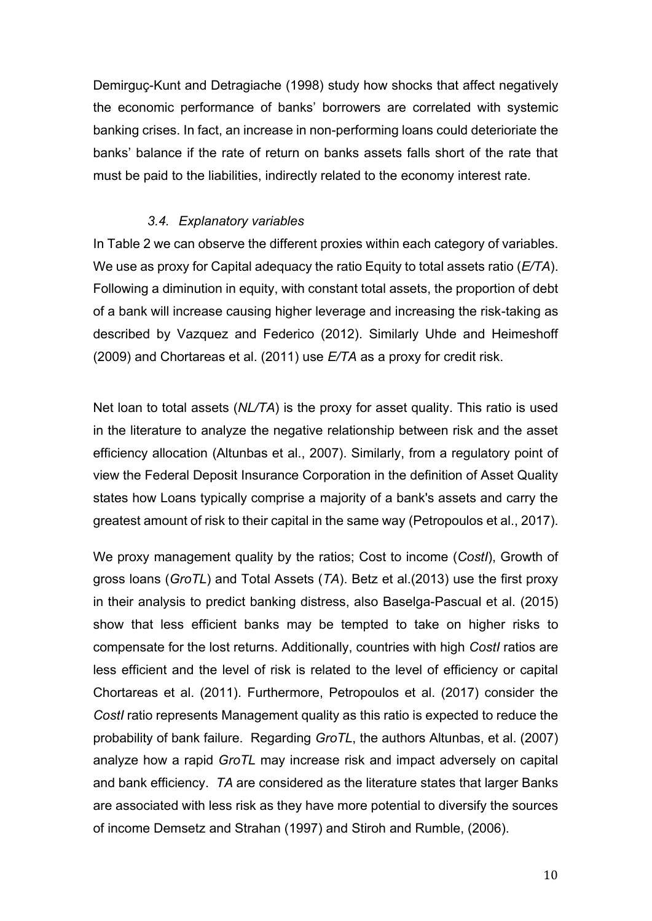Demirguç-Kunt and Detragiache (1998) study how shocks that affect negatively the economic performance of banks' borrowers are correlated with systemic banking crises. In fact, an increase in non-performing loans could deterioriate the banks' balance if the rate of return on banks assets falls short of the rate that must be paid to the liabilities, indirectly related to the economy interest rate.

#### *3.4. Explanatory variables*

In Table 2 we can observe the different proxies within each category of variables. We use as proxy for Capital adequacy the ratio Equity to total assets ratio (*E/TA*). Following a diminution in equity, with constant total assets, the proportion of debt of a bank will increase causing higher leverage and increasing the risk-taking as described by Vazquez and Federico (2012). Similarly Uhde and Heimeshoff (2009) and Chortareas et al. (2011) use *E/TA* as a proxy for credit risk.

Net loan to total assets (*NL/TA*) is the proxy for asset quality. This ratio is used in the literature to analyze the negative relationship between risk and the asset efficiency allocation (Altunbas et al., 2007). Similarly, from a regulatory point of view the Federal Deposit Insurance Corporation in the definition of Asset Quality states how Loans typically comprise a majority of a bank's assets and carry the greatest amount of risk to their capital in the same way (Petropoulos et al., 2017).

We proxy management quality by the ratios; Cost to income (*CostI*), Growth of gross loans (*GroTL*) and Total Assets (*TA*). Betz et al.(2013) use the first proxy in their analysis to predict banking distress, also Baselga-Pascual et al. (2015) show that less efficient banks may be tempted to take on higher risks to compensate for the lost returns. Additionally, countries with high *CostI* ratios are less efficient and the level of risk is related to the level of efficiency or capital Chortareas et al. (2011). Furthermore, Petropoulos et al. (2017) consider the *CostI* ratio represents Management quality as this ratio is expected to reduce the probability of bank failure. Regarding *GroTL*, the authors Altunbas, et al. (2007) analyze how a rapid *GroTL* may increase risk and impact adversely on capital and bank efficiency. *TA* are considered as the literature states that larger Banks are associated with less risk as they have more potential to diversify the sources of income Demsetz and Strahan (1997) and Stiroh and Rumble, (2006).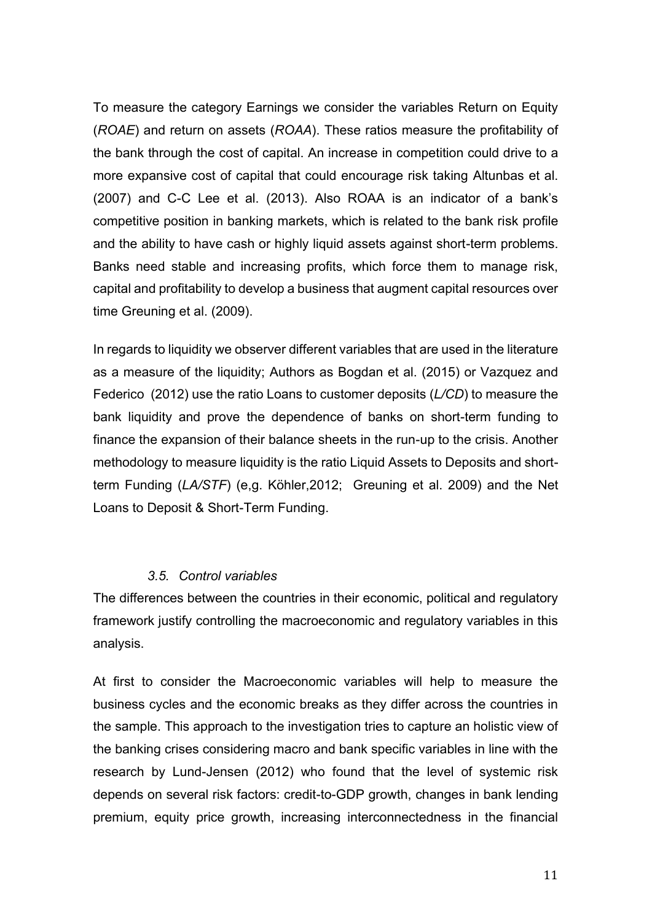To measure the category Earnings we consider the variables Return on Equity (*ROAE*) and return on assets (*ROAA*). These ratios measure the profitability of the bank through the cost of capital. An increase in competition could drive to a more expansive cost of capital that could encourage risk taking Altunbas et al. (2007) and C-C Lee et al. (2013). Also ROAA is an indicator of a bank's competitive position in banking markets, which is related to the bank risk profile and the ability to have cash or highly liquid assets against short-term problems. Banks need stable and increasing profits, which force them to manage risk, capital and profitability to develop a business that augment capital resources over time Greuning et al. (2009).

In regards to liquidity we observer different variables that are used in the literature as a measure of the liquidity; Authors as Bogdan et al. (2015) or Vazquez and Federico (2012) use the ratio Loans to customer deposits (*L/CD*) to measure the bank liquidity and prove the dependence of banks on short-term funding to finance the expansion of their balance sheets in the run-up to the crisis. Another methodology to measure liquidity is the ratio Liquid Assets to Deposits and shortterm Funding (*LA/STF*) (e,g. Köhler,2012; Greuning et al. 2009) and the Net Loans to Deposit & Short-Term Funding.

#### *3.5. Control variables*

The differences between the countries in their economic, political and regulatory framework justify controlling the macroeconomic and regulatory variables in this analysis.

At first to consider the Macroeconomic variables will help to measure the business cycles and the economic breaks as they differ across the countries in the sample. This approach to the investigation tries to capture an holistic view of the banking crises considering macro and bank specific variables in line with the research by Lund-Jensen (2012) who found that the level of systemic risk depends on several risk factors: credit-to-GDP growth, changes in bank lending premium, equity price growth, increasing interconnectedness in the financial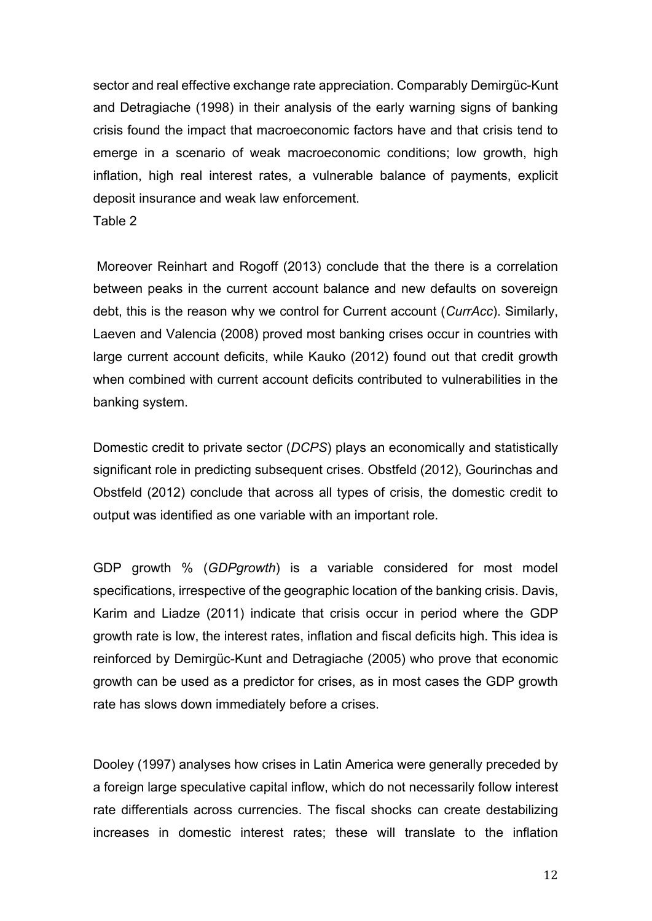sector and real effective exchange rate appreciation. Comparably Demirgüc-Kunt and Detragiache (1998) in their analysis of the early warning signs of banking crisis found the impact that macroeconomic factors have and that crisis tend to emerge in a scenario of weak macroeconomic conditions; low growth, high inflation, high real interest rates, a vulnerable balance of payments, explicit deposit insurance and weak law enforcement.

Table 2

Moreover Reinhart and Rogoff (2013) conclude that the there is a correlation between peaks in the current account balance and new defaults on sovereign debt, this is the reason why we control for Current account (*CurrAcc*). Similarly, Laeven and Valencia (2008) proved most banking crises occur in countries with large current account deficits, while Kauko (2012) found out that credit growth when combined with current account deficits contributed to vulnerabilities in the banking system.

Domestic credit to private sector (*DCPS*) plays an economically and statistically significant role in predicting subsequent crises. Obstfeld (2012), Gourinchas and Obstfeld (2012) conclude that across all types of crisis, the domestic credit to output was identified as one variable with an important role.

GDP growth % (*GDPgrowth*) is a variable considered for most model specifications, irrespective of the geographic location of the banking crisis. Davis, Karim and Liadze (2011) indicate that crisis occur in period where the GDP growth rate is low, the interest rates, inflation and fiscal deficits high. This idea is reinforced by Demirgüc-Kunt and Detragiache (2005) who prove that economic growth can be used as a predictor for crises, as in most cases the GDP growth rate has slows down immediately before a crises.

Dooley (1997) analyses how crises in Latin America were generally preceded by a foreign large speculative capital inflow, which do not necessarily follow interest rate differentials across currencies. The fiscal shocks can create destabilizing increases in domestic interest rates; these will translate to the inflation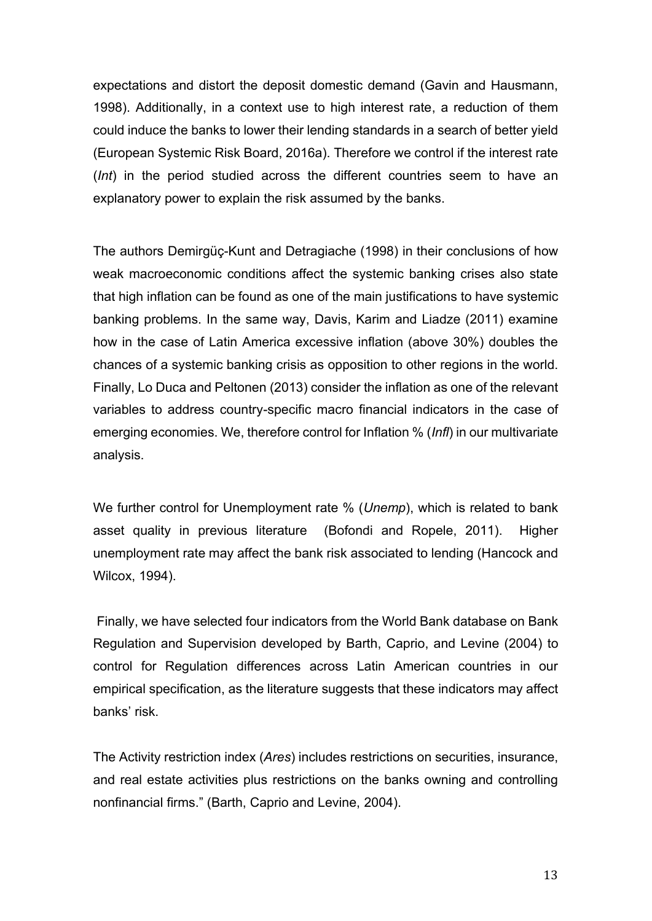expectations and distort the deposit domestic demand (Gavin and Hausmann, 1998). Additionally, in a context use to high interest rate, a reduction of them could induce the banks to lower their lending standards in a search of better yield (European Systemic Risk Board, 2016a). Therefore we control if the interest rate (*Int*) in the period studied across the different countries seem to have an explanatory power to explain the risk assumed by the banks.

The authors Demirgüç-Kunt and Detragiache (1998) in their conclusions of how weak macroeconomic conditions affect the systemic banking crises also state that high inflation can be found as one of the main justifications to have systemic banking problems. In the same way, Davis, Karim and Liadze (2011) examine how in the case of Latin America excessive inflation (above 30%) doubles the chances of a systemic banking crisis as opposition to other regions in the world. Finally, Lo Duca and Peltonen (2013) consider the inflation as one of the relevant variables to address country-specific macro financial indicators in the case of emerging economies. We, therefore control for Inflation % (*Infl*) in our multivariate analysis.

We further control for Unemployment rate % (*Unemp*), which is related to bank asset quality in previous literature (Bofondi and Ropele, 2011). Higher unemployment rate may affect the bank risk associated to lending (Hancock and Wilcox, 1994).

Finally, we have selected four indicators from the World Bank database on Bank Regulation and Supervision developed by Barth, Caprio, and Levine (2004) to control for Regulation differences across Latin American countries in our empirical specification, as the literature suggests that these indicators may affect banks' risk.

The Activity restriction index (*Ares*) includes restrictions on securities, insurance, and real estate activities plus restrictions on the banks owning and controlling nonfinancial firms." (Barth, Caprio and Levine, 2004).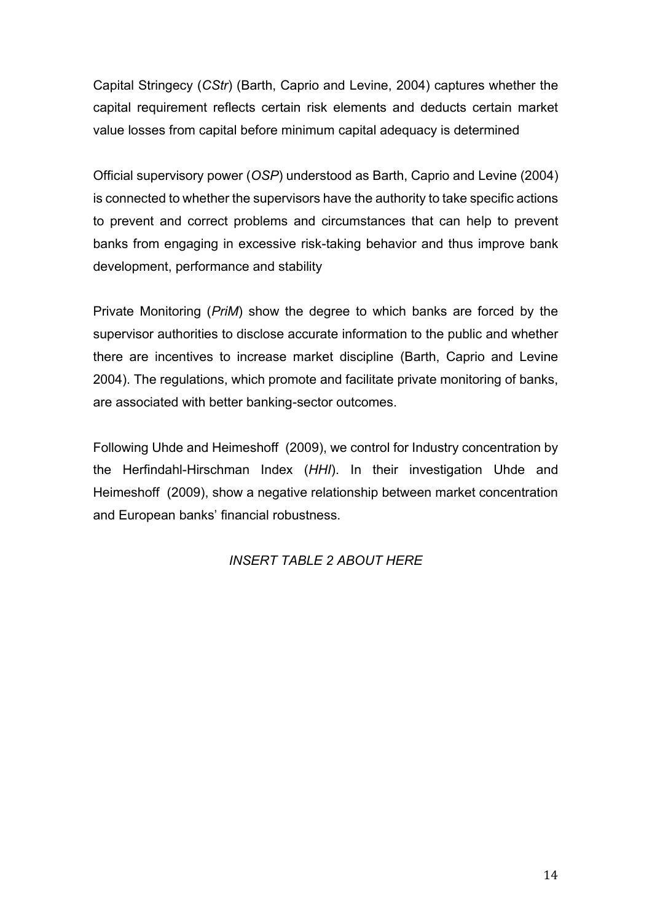Capital Stringecy (*CStr*) (Barth, Caprio and Levine, 2004) captures whether the capital requirement reflects certain risk elements and deducts certain market value losses from capital before minimum capital adequacy is determined

Official supervisory power (*OSP*) understood as Barth, Caprio and Levine (2004) is connected to whether the supervisors have the authority to take specific actions to prevent and correct problems and circumstances that can help to prevent banks from engaging in excessive risk-taking behavior and thus improve bank development, performance and stability

Private Monitoring (*PriM*) show the degree to which banks are forced by the supervisor authorities to disclose accurate information to the public and whether there are incentives to increase market discipline (Barth, Caprio and Levine 2004). The regulations, which promote and facilitate private monitoring of banks, are associated with better banking-sector outcomes.

Following Uhde and Heimeshoff (2009), we control for Industry concentration by the Herfindahl-Hirschman Index (*HHI*). In their investigation Uhde and Heimeshoff (2009), show a negative relationship between market concentration and European banks' financial robustness.

# *INSERT TABLE 2 ABOUT HERE*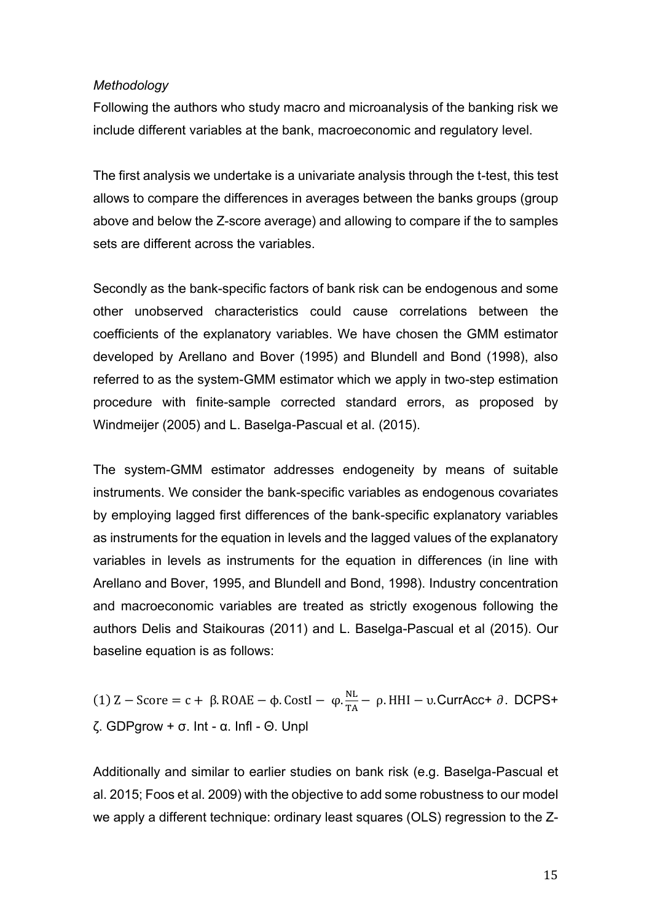#### *Methodology*

Following the authors who study macro and microanalysis of the banking risk we include different variables at the bank, macroeconomic and regulatory level.

The first analysis we undertake is a univariate analysis through the t-test, this test allows to compare the differences in averages between the banks groups (group above and below the Z-score average) and allowing to compare if the to samples sets are different across the variables.

Secondly as the bank-specific factors of bank risk can be endogenous and some other unobserved characteristics could cause correlations between the coefficients of the explanatory variables. We have chosen the GMM estimator developed by Arellano and Bover (1995) and Blundell and Bond (1998), also referred to as the system-GMM estimator which we apply in two-step estimation procedure with finite-sample corrected standard errors, as proposed by Windmeijer (2005) and L. Baselga-Pascual et al. (2015).

The system-GMM estimator addresses endogeneity by means of suitable instruments. We consider the bank-specific variables as endogenous covariates by employing lagged first differences of the bank-specific explanatory variables as instruments for the equation in levels and the lagged values of the explanatory variables in levels as instruments for the equation in differences (in line with Arellano and Bover, 1995, and Blundell and Bond, 1998). Industry concentration and macroeconomic variables are treated as strictly exogenous following the authors Delis and Staikouras (2011) and L. Baselga-Pascual et al (2015). Our baseline equation is as follows:

(1)  $Z - Score = c + \beta$ . ROAE – φ. CostI – φ.  $\frac{NL}{T_A}$  $\frac{NL}{TA}$  – ρ. HHI – υ.CurrAcc+ ∂. DCPS+ ζ. GDPgrow + σ. Int - α. Infl - Θ. Unpl

Additionally and similar to earlier studies on bank risk (e.g. Baselga-Pascual et al. 2015; Foos et al. 2009) with the objective to add some robustness to our model we apply a different technique: ordinary least squares (OLS) regression to the Z-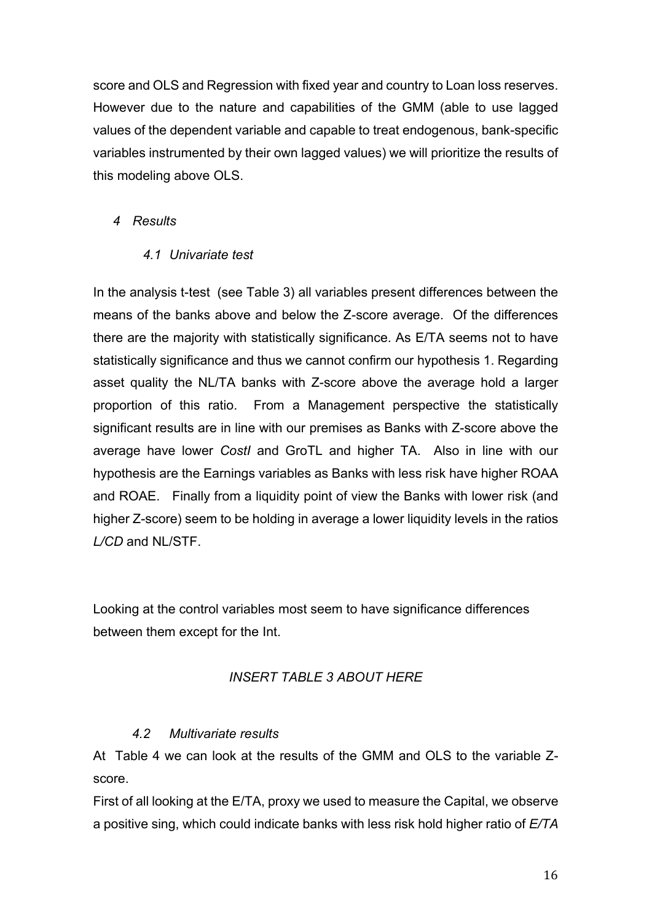score and OLS and Regression with fixed year and country to Loan loss reserves. However due to the nature and capabilities of the GMM (able to use lagged values of the dependent variable and capable to treat endogenous, bank-specific variables instrumented by their own lagged values) we will prioritize the results of this modeling above OLS.

# *4 Results*

## *4.1 Univariate test*

In the analysis t-test (see Table 3) all variables present differences between the means of the banks above and below the Z-score average. Of the differences there are the majority with statistically significance. As E/TA seems not to have statistically significance and thus we cannot confirm our hypothesis 1. Regarding asset quality the NL/TA banks with Z-score above the average hold a larger proportion of this ratio. From a Management perspective the statistically significant results are in line with our premises as Banks with Z-score above the average have lower *CostI* and GroTL and higher TA. Also in line with our hypothesis are the Earnings variables as Banks with less risk have higher ROAA and ROAE. Finally from a liquidity point of view the Banks with lower risk (and higher Z-score) seem to be holding in average a lower liquidity levels in the ratios *L/CD* and NL/STF.

Looking at the control variables most seem to have significance differences between them except for the Int.

# *INSERT TABLE 3 ABOUT HERE*

## *4.2 Multivariate results*

At Table 4 we can look at the results of the GMM and OLS to the variable Zscore.

First of all looking at the E/TA, proxy we used to measure the Capital, we observe a positive sing, which could indicate banks with less risk hold higher ratio of *E/TA*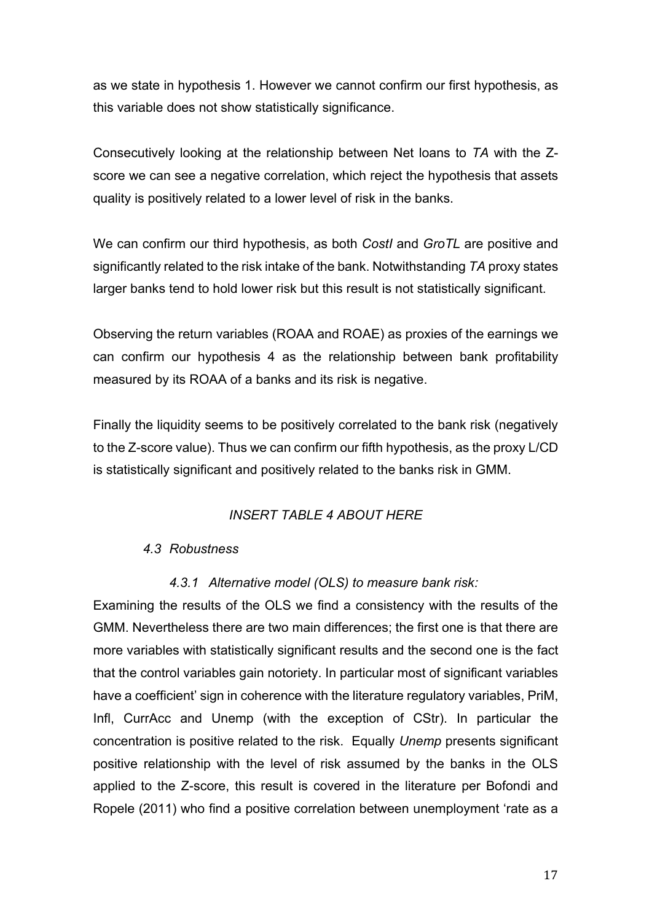as we state in hypothesis 1. However we cannot confirm our first hypothesis, as this variable does not show statistically significance.

Consecutively looking at the relationship between Net loans to *TA* with the Zscore we can see a negative correlation, which reject the hypothesis that assets quality is positively related to a lower level of risk in the banks.

We can confirm our third hypothesis, as both *CostI* and *GroTL* are positive and significantly related to the risk intake of the bank. Notwithstanding *TA* proxy states larger banks tend to hold lower risk but this result is not statistically significant.

Observing the return variables (ROAA and ROAE) as proxies of the earnings we can confirm our hypothesis 4 as the relationship between bank profitability measured by its ROAA of a banks and its risk is negative.

Finally the liquidity seems to be positively correlated to the bank risk (negatively to the Z-score value). Thus we can confirm our fifth hypothesis, as the proxy L/CD is statistically significant and positively related to the banks risk in GMM.

## *INSERT TABLE 4 ABOUT HERE*

#### *4.3 Robustness*

## *4.3.1 Alternative model (OLS) to measure bank risk:*

Examining the results of the OLS we find a consistency with the results of the GMM. Nevertheless there are two main differences; the first one is that there are more variables with statistically significant results and the second one is the fact that the control variables gain notoriety. In particular most of significant variables have a coefficient' sign in coherence with the literature regulatory variables, PriM, Infl, CurrAcc and Unemp (with the exception of CStr). In particular the concentration is positive related to the risk. Equally *Unemp* presents significant positive relationship with the level of risk assumed by the banks in the OLS applied to the Z-score, this result is covered in the literature per Bofondi and Ropele (2011) who find a positive correlation between unemployment 'rate as a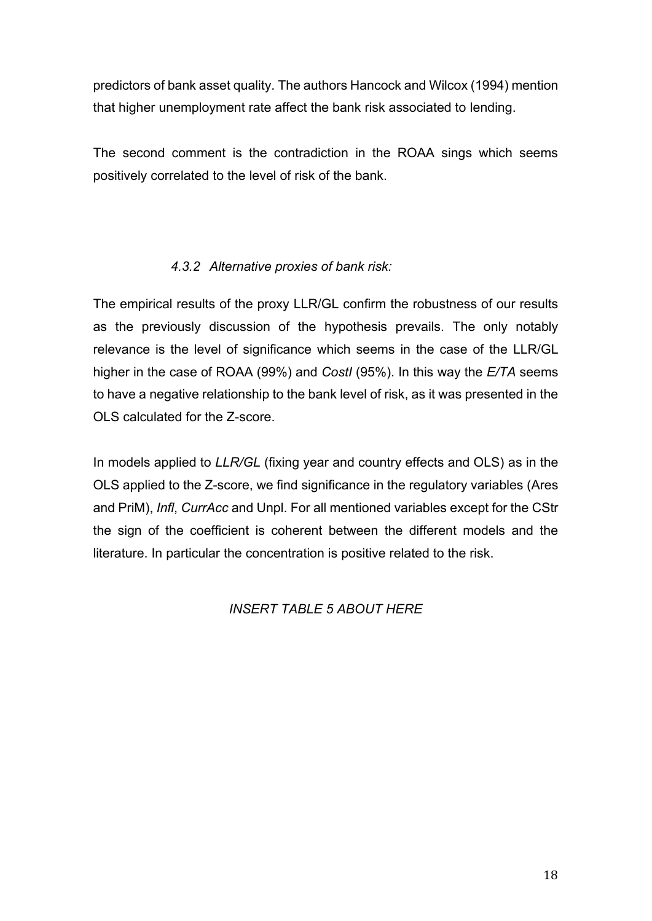predictors of bank asset quality. The authors Hancock and Wilcox (1994) mention that higher unemployment rate affect the bank risk associated to lending.

The second comment is the contradiction in the ROAA sings which seems positively correlated to the level of risk of the bank.

# *4.3.2 Alternative proxies of bank risk:*

The empirical results of the proxy LLR/GL confirm the robustness of our results as the previously discussion of the hypothesis prevails. The only notably relevance is the level of significance which seems in the case of the LLR/GL higher in the case of ROAA (99%) and *CostI* (95%). In this way the *E/TA* seems to have a negative relationship to the bank level of risk, as it was presented in the OLS calculated for the Z-score.

In models applied to *LLR/GL* (fixing year and country effects and OLS) as in the OLS applied to the Z-score, we find significance in the regulatory variables (Ares and PriM), *Infl*, *CurrAcc* and Unpl. For all mentioned variables except for the CStr the sign of the coefficient is coherent between the different models and the literature. In particular the concentration is positive related to the risk.

## *INSERT TABLE 5 ABOUT HERE*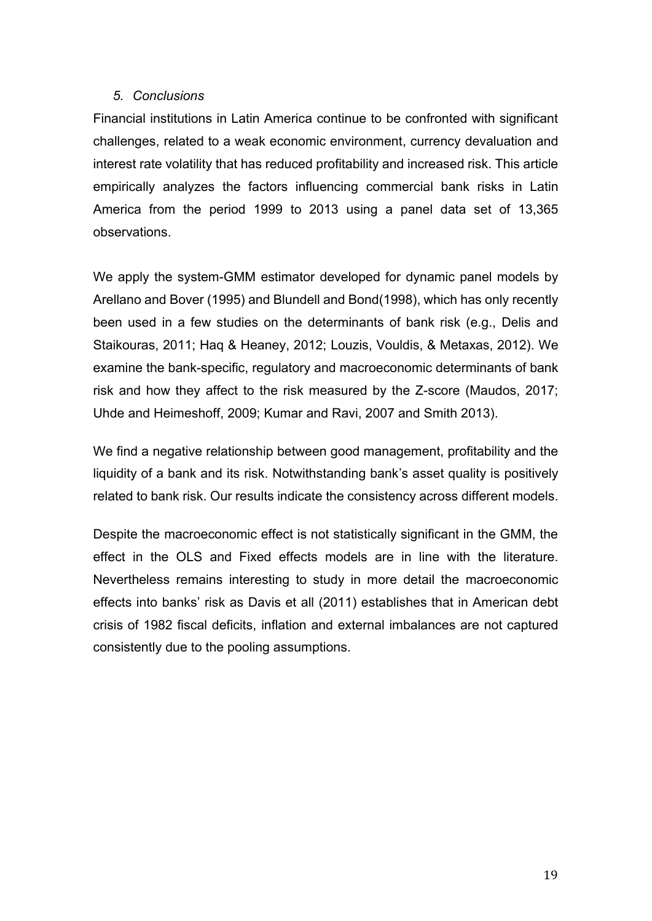## *5. Conclusions*

Financial institutions in Latin America continue to be confronted with significant challenges, related to a weak economic environment, currency devaluation and interest rate volatility that has reduced profitability and increased risk. This article empirically analyzes the factors influencing commercial bank risks in Latin America from the period 1999 to 2013 using a panel data set of 13,365 observations.

We apply the system-GMM estimator developed for dynamic panel models by Arellano and Bover (1995) and Blundell and Bond(1998), which has only recently been used in a few studies on the determinants of bank risk (e.g., Delis and Staikouras, 2011; Haq & Heaney, 2012; Louzis, Vouldis, & Metaxas, 2012). We examine the bank-specific, regulatory and macroeconomic determinants of bank risk and how they affect to the risk measured by the Z-score (Maudos, 2017; Uhde and Heimeshoff, 2009; Kumar and Ravi, 2007 and Smith 2013).

We find a negative relationship between good management, profitability and the liquidity of a bank and its risk. Notwithstanding bank's asset quality is positively related to bank risk. Our results indicate the consistency across different models.

Despite the macroeconomic effect is not statistically significant in the GMM, the effect in the OLS and Fixed effects models are in line with the literature. Nevertheless remains interesting to study in more detail the macroeconomic effects into banks' risk as Davis et all (2011) establishes that in American debt crisis of 1982 fiscal deficits, inflation and external imbalances are not captured consistently due to the pooling assumptions.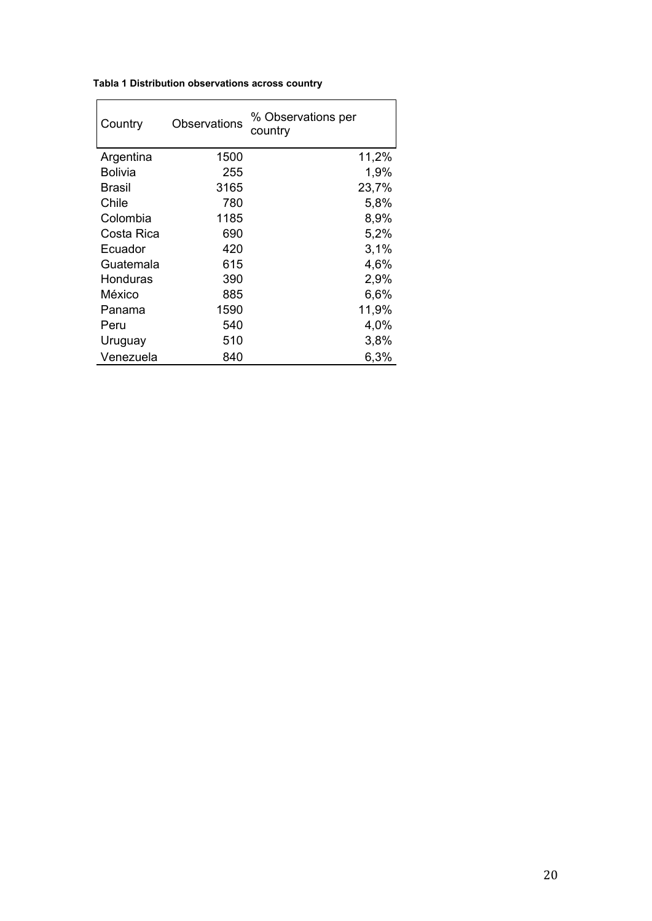| Tabla 1 Distribution observations across country |
|--------------------------------------------------|
|--------------------------------------------------|

| Country    | Observations | % Observations per<br>country |
|------------|--------------|-------------------------------|
| Argentina  | 1500         | 11,2%                         |
| Bolivia    | 255          | 1,9%                          |
| Brasil     | 3165         | 23,7%                         |
| Chile      | 780          | 5,8%                          |
| Colombia   | 1185         | 8,9%                          |
| Costa Rica | 690          | 5,2%                          |
| Ecuador    | 420          | 3,1%                          |
| Guatemala  | 615          | 4,6%                          |
| Honduras   | 390          | 2,9%                          |
| México     | 885          | 6,6%                          |
| Panama     | 1590         | 11,9%                         |
| Peru       | 540          | 4,0%                          |
| Uruguay    | 510          | 3,8%                          |
| Venezuela  | 840          | 6,3%                          |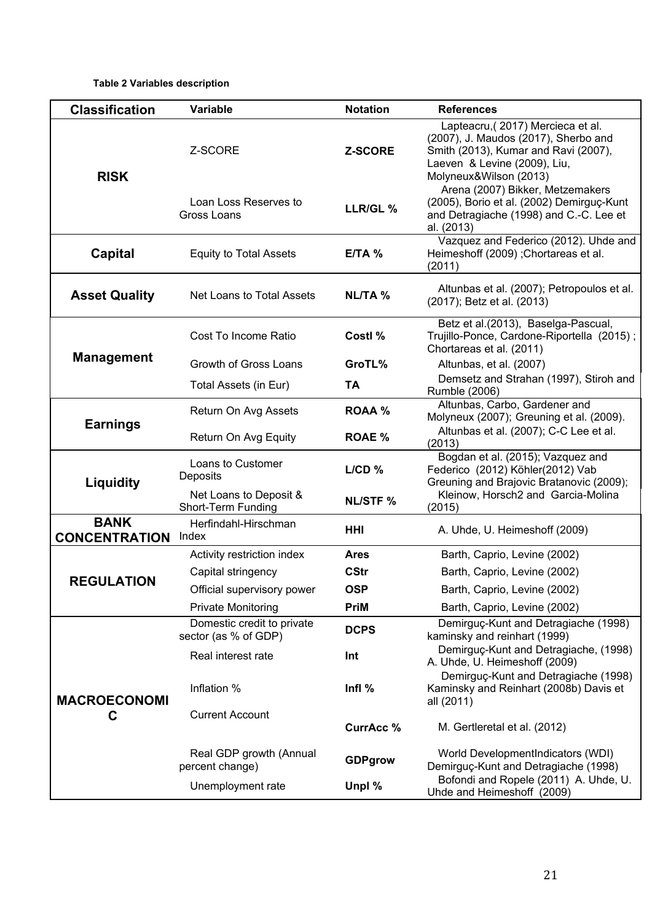#### **Table 2 Variables description**

| <b>Classification</b>               | Variable                                           | <b>Notation</b> | <b>References</b>                                                                                                                                                           |
|-------------------------------------|----------------------------------------------------|-----------------|-----------------------------------------------------------------------------------------------------------------------------------------------------------------------------|
| <b>RISK</b>                         | Z-SCORE                                            | Z-SCORE         | Lapteacru, (2017) Mercieca et al.<br>(2007), J. Maudos (2017), Sherbo and<br>Smith (2013), Kumar and Ravi (2007),<br>Laeven & Levine (2009), Liu,<br>Molyneux&Wilson (2013) |
|                                     | Loan Loss Reserves to<br>Gross Loans               | LLR/GL %        | Arena (2007) Bikker, Metzemakers<br>(2005), Borio et al. (2002) Demirguç-Kunt<br>and Detragiache (1998) and C.-C. Lee et<br>al. (2013)                                      |
| Capital                             | <b>Equity to Total Assets</b>                      | $E/TA$ %        | Vazquez and Federico (2012). Uhde and<br>Heimeshoff (2009) ; Chortareas et al.<br>(2011)                                                                                    |
| <b>Asset Quality</b>                | Net Loans to Total Assets                          | <b>NL/TA %</b>  | Altunbas et al. (2007); Petropoulos et al.<br>(2017); Betz et al. (2013)                                                                                                    |
|                                     | Cost To Income Ratio                               | Costl %         | Betz et al.(2013), Baselga-Pascual,<br>Trujillo-Ponce, Cardone-Riportella (2015);<br>Chortareas et al. (2011)                                                               |
| <b>Management</b>                   | Growth of Gross Loans                              | GroTL%          | Altunbas, et al. (2007)                                                                                                                                                     |
|                                     | Total Assets (in Eur)                              | TA              | Demsetz and Strahan (1997), Stiroh and<br>Rumble (2006)                                                                                                                     |
|                                     | Return On Avg Assets                               | <b>ROAA %</b>   | Altunbas, Carbo, Gardener and<br>Molyneux (2007); Greuning et al. (2009).                                                                                                   |
| <b>Earnings</b>                     | Return On Avg Equity                               | <b>ROAE %</b>   | Altunbas et al. (2007); C-C Lee et al.<br>(2013)                                                                                                                            |
| Liquidity                           | Loans to Customer<br>Deposits                      | L/CD %          | Bogdan et al. (2015); Vazquez and<br>Federico (2012) Köhler(2012) Vab<br>Greuning and Brajovic Bratanovic (2009);                                                           |
|                                     | Net Loans to Deposit &<br>Short-Term Funding       | <b>NL/STF %</b> | Kleinow, Horsch2 and Garcia-Molina<br>(2015)                                                                                                                                |
| <b>BANK</b><br><b>CONCENTRATION</b> | Herfindahl-Hirschman<br>Index                      | HHI             | A. Uhde, U. Heimeshoff (2009)                                                                                                                                               |
|                                     | Activity restriction index                         | <b>Ares</b>     | Barth, Caprio, Levine (2002)                                                                                                                                                |
|                                     | Capital stringency                                 | <b>CStr</b>     | Barth, Caprio, Levine (2002)                                                                                                                                                |
| <b>REGULATION</b>                   | Official supervisory power                         | <b>OSP</b>      | Barth, Caprio, Levine (2002)                                                                                                                                                |
|                                     | <b>Private Monitoring</b>                          | <b>PriM</b>     | Barth, Caprio, Levine (2002)                                                                                                                                                |
|                                     | Domestic credit to private<br>sector (as % of GDP) | <b>DCPS</b>     | Demirguç-Kunt and Detragiache (1998)<br>kaminsky and reinhart (1999)                                                                                                        |
|                                     | Real interest rate                                 | Int             | Demirguç-Kunt and Detragiache, (1998)<br>A. Uhde, U. Heimeshoff (2009)                                                                                                      |
| <b>MACROECONOMI</b>                 | Inflation %                                        | Infl $%$        | Demirguç-Kunt and Detragiache (1998)<br>Kaminsky and Reinhart (2008b) Davis et<br>all (2011)                                                                                |
| С                                   | <b>Current Account</b>                             | <b>CurrAcc%</b> | M. Gertleretal et al. (2012)                                                                                                                                                |
|                                     | Real GDP growth (Annual<br>percent change)         | <b>GDPgrow</b>  | World DevelopmentIndicators (WDI)<br>Demirguç-Kunt and Detragiache (1998)                                                                                                   |
|                                     | Unemployment rate                                  | Unpl %          | Bofondi and Ropele (2011) A. Uhde, U.<br>Uhde and Heimeshoff (2009)                                                                                                         |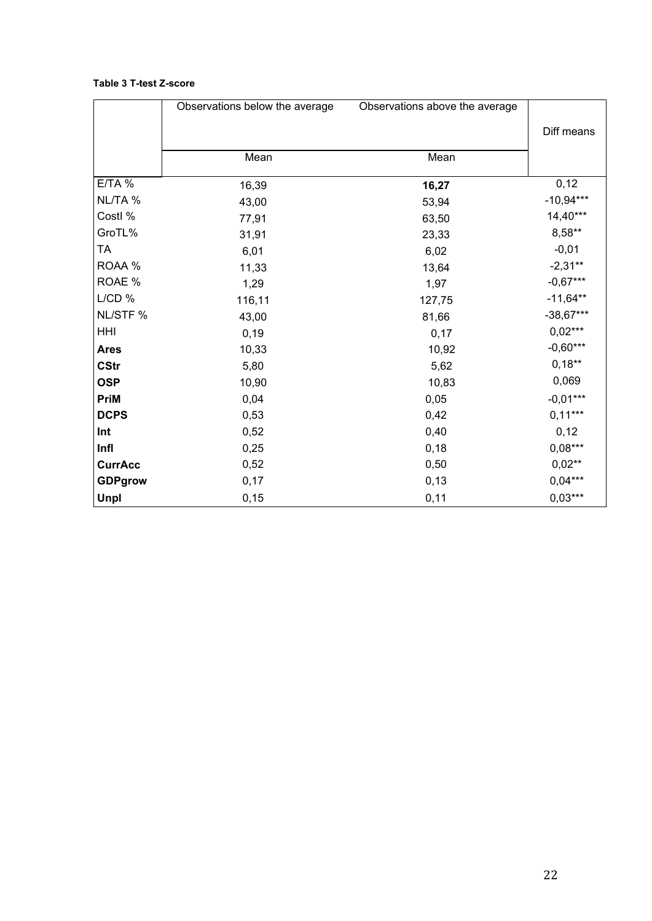#### **Table 3 T-test Z-score**

|                | Observations below the average | Observations above the average |             |
|----------------|--------------------------------|--------------------------------|-------------|
|                |                                |                                | Diff means  |
|                |                                |                                |             |
|                | Mean                           | Mean                           |             |
| $E/TA$ %       | 16,39                          | 16,27                          | 0,12        |
| NL/TA %        | 43,00                          | 53,94                          | $-10,94***$ |
| Costl %        | 77,91                          | 63,50                          | $14,40***$  |
| GroTL%         | 31,91                          | 23,33                          | $8,58**$    |
| <b>TA</b>      | 6,01                           | 6,02                           | $-0,01$     |
| ROAA %         | 11,33                          | 13,64                          | $-2,31**$   |
| ROAE %         | 1,29                           | 1,97                           | $-0,67***$  |
| $L/CD$ %       | 116,11                         | 127,75                         | $-11,64**$  |
| NL/STF %       | 43,00                          | 81,66                          | $-38,67***$ |
| HHI            | 0, 19                          | 0,17                           | $0,02***$   |
| <b>Ares</b>    | 10,33                          | 10,92                          | $-0,60***$  |
| <b>CStr</b>    | 5,80                           | 5,62                           | $0,18**$    |
| <b>OSP</b>     | 10,90                          | 10,83                          | 0,069       |
| <b>PriM</b>    | 0,04                           | 0,05                           | $-0,01***$  |
| <b>DCPS</b>    | 0,53                           | 0,42                           | $0,11***$   |
| Int            | 0,52                           | 0,40                           | 0,12        |
| Infl           | 0,25                           | 0,18                           | $0,08***$   |
| <b>CurrAcc</b> | 0,52                           | 0,50                           | $0,02**$    |
| <b>GDPgrow</b> | 0,17                           | 0,13                           | $0,04***$   |
| Unpl           | 0, 15                          | 0,11                           | $0,03***$   |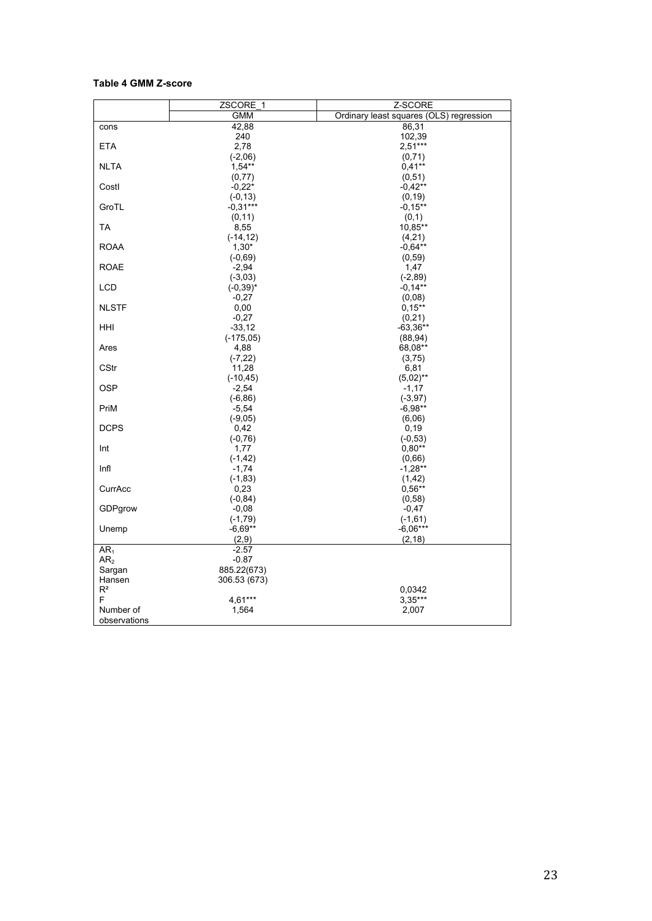#### **Table 4 GMM Z-score**

|                 | ZSCORE <sub>_1</sub> | Z-SCORE                                 |
|-----------------|----------------------|-----------------------------------------|
|                 | <b>GMM</b>           | Ordinary least squares (OLS) regression |
| cons            | 42,88                | 86,31                                   |
|                 | 240                  | 102,39                                  |
| <b>ETA</b>      | 2,78                 | $2.51***$                               |
|                 | $(-2,06)$            | (0, 71)                                 |
| <b>NLTA</b>     | $1.54***$            | $0,41**$                                |
|                 | (0, 77)              | (0,51)                                  |
| Costl           | $-0,22*$             | $-0,42**$                               |
|                 | $(-0, 13)$           | (0, 19)                                 |
| GroTL           | $-0.31***$           | $-0.15***$                              |
|                 | (0, 11)              | (0,1)                                   |
| <b>TA</b>       | 8,55                 | 10,85**                                 |
|                 | $(-14, 12)$          | (4,21)                                  |
| <b>ROAA</b>     | $1,30*$              | $-0.64**$                               |
|                 | $(-0,69)$            | (0.59)                                  |
| <b>ROAE</b>     | $-2,94$              | 1,47                                    |
|                 | $(-3,03)$            | $(-2, 89)$                              |
| <b>LCD</b>      | $(-0, 39)^*$         | $-0.14***$                              |
|                 | $-0,27$              | (0,08)                                  |
| <b>NLSTF</b>    | 0,00                 | $0,15**$                                |
|                 | $-0,27$              | (0,21)                                  |
| HHI             | $-33, 12$            | $-63,36**$                              |
|                 | $(-175,05)$          | (88, 94)                                |
| Ares            | 4,88                 | 68,08**                                 |
| <b>CStr</b>     | $(-7, 22)$<br>11,28  | (3,75)<br>6,81                          |
|                 | $(-10, 45)$          | $(5,02)$ **                             |
| <b>OSP</b>      | $-2,54$              | $-1,17$                                 |
|                 | $(-6, 86)$           | $(-3, 97)$                              |
| PriM            | $-5,54$              | $-6.98**$                               |
|                 | $(-9,05)$            | (6,06)                                  |
| <b>DCPS</b>     | 0,42                 | 0, 19                                   |
|                 | $(-0, 76)$           | $(-0, 53)$                              |
| Int             | 1,77                 | $0,80**$                                |
|                 | $(-1, 42)$           | (0,66)                                  |
| Infl            | $-1,74$              | $-1,28**$                               |
|                 | $(-1, 83)$           | (1, 42)                                 |
| CurrAcc         | 0,23                 | $0.56**$                                |
|                 | $(-0, 84)$           | (0, 58)                                 |
| GDPgrow         | $-0.08$              | $-0.47$                                 |
|                 | $(-1, 79)$           | $(-1,61)$                               |
| Unemp           | $-6.69**$            | $-6,06***$                              |
|                 | (2,9)                | (2, 18)                                 |
| AR <sub>1</sub> | $-2.57$              |                                         |
| AR <sub>2</sub> | $-0.87$              |                                         |
| Sargan          | 885.22(673)          |                                         |
| Hansen          | 306.53 (673)         |                                         |
| $\mathsf{R}^2$  |                      | 0,0342                                  |
| F               | 4.61***              | $3,35***$                               |
| Number of       | 1,564                | 2,007                                   |
| observations    |                      |                                         |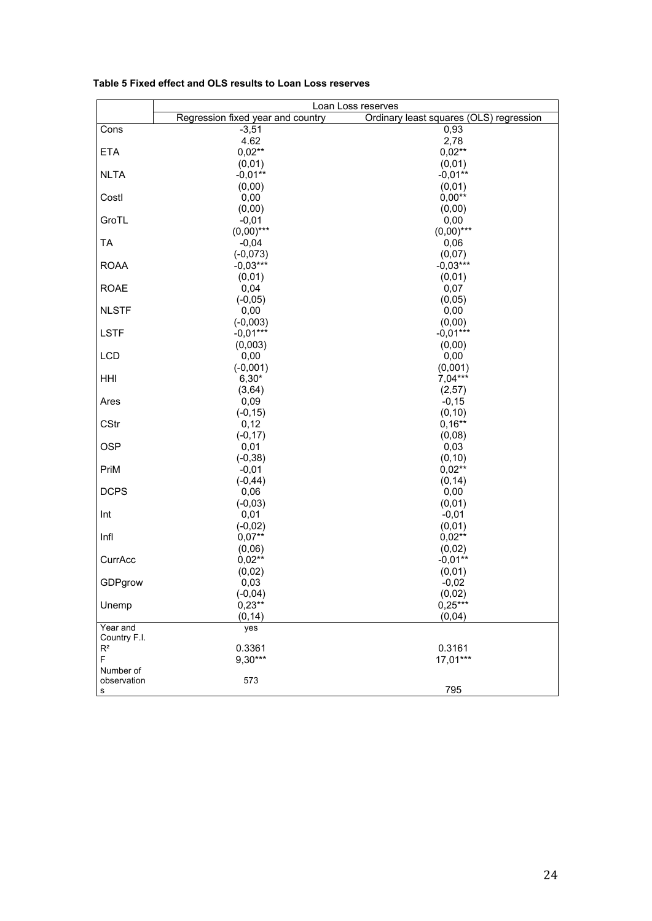|                       | Loan Loss reserves                |                                         |  |
|-----------------------|-----------------------------------|-----------------------------------------|--|
|                       | Regression fixed year and country | Ordinary least squares (OLS) regression |  |
| Cons                  | $-3,51$                           | 0,93                                    |  |
|                       | 4.62                              | 2,78                                    |  |
| <b>ETA</b>            | $0,02**$                          | $0,02**$                                |  |
|                       | (0,01)                            | (0,01)                                  |  |
| <b>NLTA</b>           | $-0.01**$                         | $-0,01**$                               |  |
|                       | (0,00)                            | (0,01)                                  |  |
| Costl                 | 0,00                              | $0,00**$                                |  |
|                       | (0,00)                            | (0,00)                                  |  |
| GroTL                 | $-0,01$                           | 0,00                                    |  |
|                       | $(0,00)$ ***                      | $(0,00)$ ***                            |  |
| <b>TA</b>             | $-0,04$                           | 0,06                                    |  |
|                       | $(-0,073)$                        | (0,07)                                  |  |
| <b>ROAA</b>           | $-0.03***$                        | $-0.03***$                              |  |
|                       | (0,01)                            | (0,01)                                  |  |
| <b>ROAE</b>           | 0,04                              | 0,07                                    |  |
|                       | $(-0, 05)$                        | (0,05)                                  |  |
| <b>NLSTF</b>          | 0,00                              | 0,00                                    |  |
|                       | $(-0,003)$                        | (0,00)                                  |  |
| <b>LSTF</b>           | $-0.01***$                        | $-0.01***$                              |  |
| <b>LCD</b>            | (0,003)<br>0,00                   | (0,00)<br>0,00                          |  |
|                       |                                   | (0,001)                                 |  |
| HHI                   | $(-0,001)$<br>$6,30*$             | $7,04***$                               |  |
|                       | (3, 64)                           | (2,57)                                  |  |
| Ares                  | 0,09                              | $-0,15$                                 |  |
|                       | $(-0, 15)$                        | (0, 10)                                 |  |
| <b>CStr</b>           | 0,12                              | $0,16**$                                |  |
|                       | $(-0, 17)$                        | (0,08)                                  |  |
| <b>OSP</b>            | 0,01                              | 0,03                                    |  |
|                       | $(-0, 38)$                        | (0, 10)                                 |  |
| PriM                  | $-0,01$                           | $0,02***$                               |  |
|                       | $(-0, 44)$                        | (0, 14)                                 |  |
| <b>DCPS</b>           | 0,06                              | 0,00                                    |  |
|                       | $(-0,03)$                         | (0,01)                                  |  |
| Int                   | 0,01                              | $-0,01$                                 |  |
|                       | $(-0,02)$                         | (0,01)                                  |  |
| Infl                  | $0,07***$                         | $0,02**$                                |  |
|                       | (0,06)                            | (0,02)                                  |  |
| CurrAcc               | $0,02***$                         | $-0,01**$                               |  |
|                       | (0,02)                            | (0,01)                                  |  |
| GDPgrow               | 0,03                              | $-0,02$                                 |  |
|                       | $(-0, 04)$                        | (0,02)                                  |  |
| Unemp                 | $0,23**$                          | $0,25***$                               |  |
|                       | (0, 14)                           | (0,04)                                  |  |
| Year and              | yes                               |                                         |  |
| Country F.I.<br>$R^2$ |                                   |                                         |  |
| F                     | 0.3361<br>9,30***                 | 0.3161<br>17,01***                      |  |
| Number of             |                                   |                                         |  |
| observation           | 573                               |                                         |  |
| s                     |                                   | 795                                     |  |

#### **Table 5 Fixed effect and OLS results to Loan Loss reserves**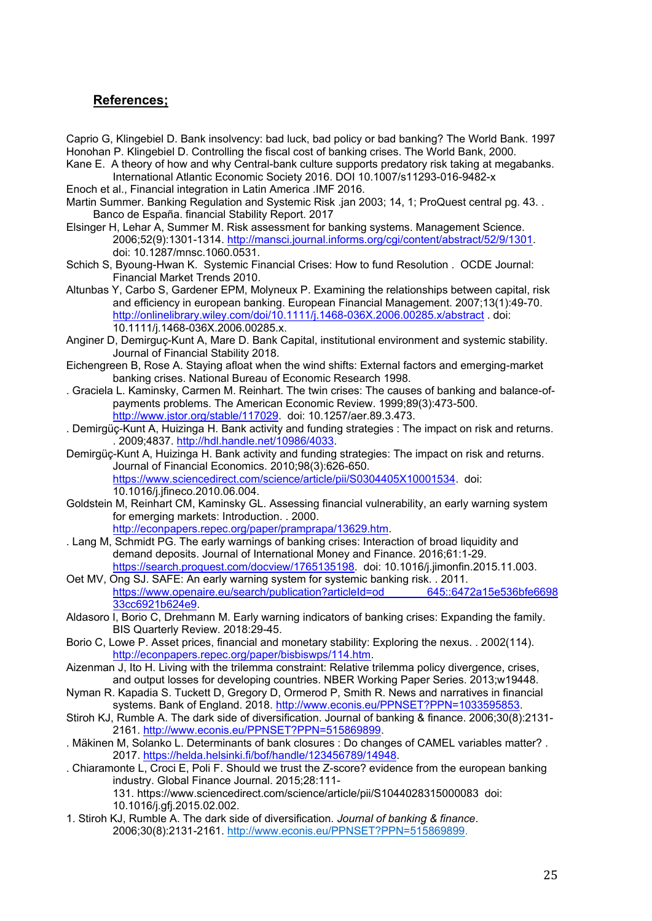#### **References;**

Caprio G, Klingebiel D. Bank insolvency: bad luck, bad policy or bad banking? The World Bank. 1997 Honohan P. Klingebiel D. Controlling the fiscal cost of banking crises. The World Bank, 2000.

Kane E. A theory of how and why Central-bank culture supports predatory risk taking at megabanks. International Atlantic Economic Society 2016. DOI 10.1007/s11293-016-9482-x

Enoch et al., Financial integration in Latin America .IMF 2016.

- Martin Summer. Banking Regulation and Systemic Risk .jan 2003; 14, 1; ProQuest central pg. 43. . Banco de España. financial Stability Report. 2017
- Elsinger H, Lehar A, Summer M. Risk assessment for banking systems. Management Science. 2006;52(9):1301-1314. http://mansci.journal.informs.org/cgi/content/abstract/52/9/1301. doi: 10.1287/mnsc.1060.0531.
- Schich S, Byoung-Hwan K. Systemic Financial Crises: How to fund Resolution . OCDE Journal: Financial Market Trends 2010.
- Altunbas Y, Carbo S, Gardener EPM, Molyneux P. Examining the relationships between capital, risk and efficiency in european banking. European Financial Management. 2007;13(1):49-70. http://onlinelibrary.wiley.com/doi/10.1111/j.1468-036X.2006.00285.x/abstract . doi: 10.1111/j.1468-036X.2006.00285.x.
- Anginer D, Demirguç-Kunt A, Mare D. Bank Capital, institutional environment and systemic stability. Journal of Financial Stability 2018.
- Eichengreen B, Rose A. Staying afloat when the wind shifts: External factors and emerging-market banking crises. National Bureau of Economic Research 1998.
- . Graciela L. Kaminsky, Carmen M. Reinhart. The twin crises: The causes of banking and balance-ofpayments problems. The American Economic Review. 1999;89(3):473-500. http://www.jstor.org/stable/117029. doi: 10.1257/aer.89.3.473.
- . Demirgüç-Kunt A, Huizinga H. Bank activity and funding strategies : The impact on risk and returns. . 2009;4837. http://hdl.handle.net/10986/4033.
- Demirgüç-Kunt A, Huizinga H. Bank activity and funding strategies: The impact on risk and returns. Journal of Financial Economics. 2010;98(3):626-650. https://www.sciencedirect.com/science/article/pii/S0304405X10001534. doi: 10.1016/j.jfineco.2010.06.004.
- Goldstein M, Reinhart CM, Kaminsky GL. Assessing financial vulnerability, an early warning system for emerging markets: Introduction. . 2000. http://econpapers.repec.org/paper/pramprapa/13629.htm.
- . Lang M, Schmidt PG. The early warnings of banking crises: Interaction of broad liquidity and demand deposits. Journal of International Money and Finance. 2016;61:1-29. https://search.proquest.com/docview/1765135198. doi: 10.1016/j.jimonfin.2015.11.003.
- Oet MV, Ong SJ. SAFE: An early warning system for systemic banking risk. . 2011. https://www.openaire.eu/search/publication?articleId=od 645::6472a15e536bfe6698 33cc6921b624e9.
- Aldasoro I, Borio C, Drehmann M. Early warning indicators of banking crises: Expanding the family. BIS Quarterly Review. 2018:29-45.
- Borio C, Lowe P. Asset prices, financial and monetary stability: Exploring the nexus. . 2002(114). http://econpapers.repec.org/paper/bisbiswps/114.htm.
- Aizenman J, Ito H. Living with the trilemma constraint: Relative trilemma policy divergence, crises, and output losses for developing countries. NBER Working Paper Series. 2013;w19448.
- Nyman R. Kapadia S. Tuckett D, Gregory D, Ormerod P, Smith R. News and narratives in financial systems. Bank of England. 2018. http://www.econis.eu/PPNSET?PPN=1033595853.
- Stiroh KJ, Rumble A. The dark side of diversification. Journal of banking & finance. 2006;30(8):2131-2161. http://www.econis.eu/PPNSET?PPN=515869899.
- . Mäkinen M, Solanko L. Determinants of bank closures : Do changes of CAMEL variables matter? . 2017. https://helda.helsinki.fi/bof/handle/123456789/14948.
- . Chiaramonte L, Croci E, Poli F. Should we trust the Z-score? evidence from the european banking industry. Global Finance Journal. 2015;28:111- 131. https://www.sciencedirect.com/science/article/pii/S1044028315000083 doi:

10.1016/j.gfj.2015.02.002.

1. Stiroh KJ, Rumble A. The dark side of diversification. *Journal of banking & finance*. 2006;30(8):2131-2161. http://www.econis.eu/PPNSET?PPN=515869899.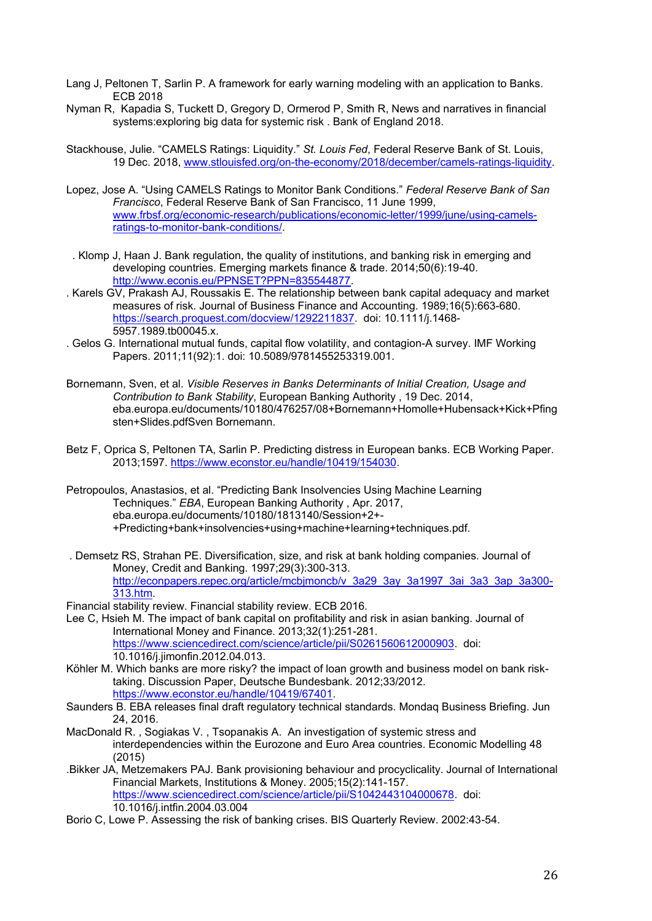- Lang J, Peltonen T, Sarlin P. A framework for early warning modeling with an application to Banks. ECB 2018
- Nyman R, Kapadia S, Tuckett D, Gregory D, Ormerod P, Smith R, News and narratives in financial systems:exploring big data for systemic risk . Bank of England 2018.
- Stackhouse, Julie. "CAMELS Ratings: Liquidity." *St. Louis Fed*, Federal Reserve Bank of St. Louis, 19 Dec. 2018, www.stlouisfed.org/on-the-economy/2018/december/camels-ratings-liquidity.
- Lopez, Jose A. "Using CAMELS Ratings to Monitor Bank Conditions." *Federal Reserve Bank of San Francisco*, Federal Reserve Bank of San Francisco, 11 June 1999, www.frbsf.org/economic-research/publications/economic-letter/1999/june/using-camelsratings-to-monitor-bank-conditions/.
- . Klomp J, Haan J. Bank regulation, the quality of institutions, and banking risk in emerging and developing countries. Emerging markets finance & trade. 2014;50(6):19-40. http://www.econis.eu/PPNSET?PPN=835544877.
- . Karels GV, Prakash AJ, Roussakis E. The relationship between bank capital adequacy and market measures of risk. Journal of Business Finance and Accounting. 1989;16(5):663-680. https://search.proquest.com/docview/1292211837. doi: 10.1111/j.1468- 5957.1989.tb00045.x.
- . Gelos G. International mutual funds, capital flow volatility, and contagion-A survey. IMF Working Papers. 2011;11(92):1. doi: 10.5089/9781455253319.001.
- Bornemann, Sven, et al. *Visible Reserves in Banks Determinants of Initial Creation, Usage and Contribution to Bank Stability*, European Banking Authority , 19 Dec. 2014, eba.europa.eu/documents/10180/476257/08+Bornemann+Homolle+Hubensack+Kick+Pfing sten+Slides.pdfSven Bornemann.
- Betz F, Oprica S, Peltonen TA, Sarlin P. Predicting distress in European banks. ECB Working Paper. 2013;1597. https://www.econstor.eu/handle/10419/154030.
- Petropoulos, Anastasios, et al. "Predicting Bank Insolvencies Using Machine Learning Techniques." *EBA*, European Banking Authority , Apr. 2017, eba.europa.eu/documents/10180/1813140/Session+2+- +Predicting+bank+insolvencies+using+machine+learning+techniques.pdf.
- . Demsetz RS, Strahan PE. Diversification, size, and risk at bank holding companies. Journal of Money, Credit and Banking. 1997;29(3):300-313. http://econpapers.repec.org/article/mcbjmoncb/v\_3a29\_3ay\_3a1997\_3ai\_3a3\_3ap\_3a300-313.htm.
- Financial stability review. Financial stability review. ECB 2016.
- Lee C, Hsieh M. The impact of bank capital on profitability and risk in asian banking. Journal of International Money and Finance. 2013;32(1):251-281. https://www.sciencedirect.com/science/article/pii/S0261560612000903. doi: 10.1016/j.jimonfin.2012.04.013.
- Köhler M. Which banks are more risky? the impact of loan growth and business model on bank risktaking. Discussion Paper, Deutsche Bundesbank. 2012;33/2012. https://www.econstor.eu/handle/10419/67401.
- Saunders B. EBA releases final draft regulatory technical standards. Mondaq Business Briefing. Jun 24, 2016.
- MacDonald R. , Sogiakas V. , Tsopanakis A. An investigation of systemic stress and interdependencies within the Eurozone and Euro Area countries. Economic Modelling 48 (2015)
- .Bikker JA, Metzemakers PAJ. Bank provisioning behaviour and procyclicality. Journal of International Financial Markets, Institutions & Money. 2005;15(2):141-157. https://www.sciencedirect.com/science/article/pii/S1042443104000678. doi: 10.1016/j.intfin.2004.03.004
- Borio C, Lowe P. Assessing the risk of banking crises. BIS Quarterly Review. 2002:43-54.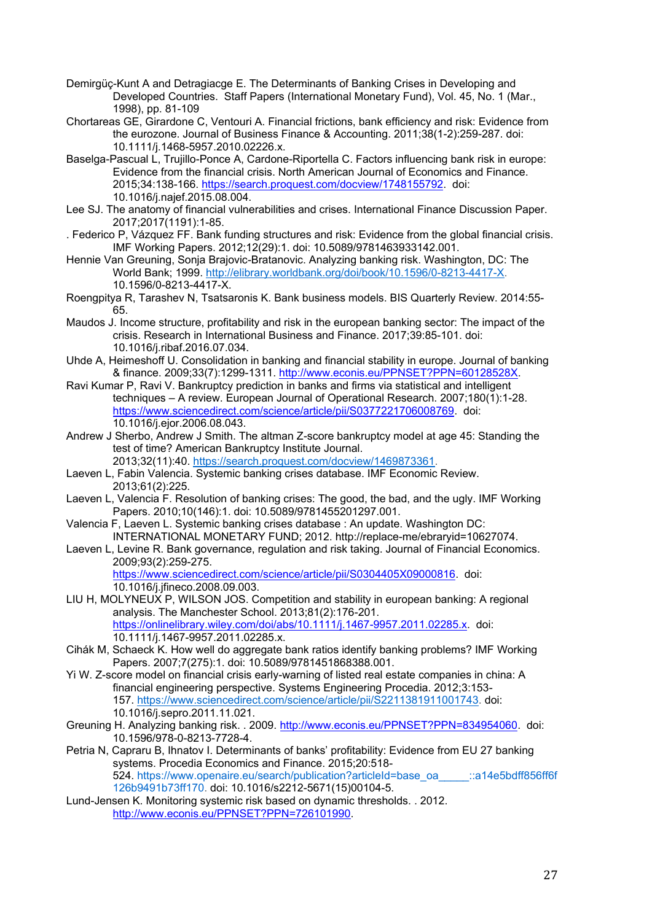- Demirgüç-Kunt A and Detragiacge E. The Determinants of Banking Crises in Developing and Developed Countries. Staff Papers (International Monetary Fund), Vol. 45, No. 1 (Mar., 1998), pp. 81-109
- Chortareas GE, Girardone C, Ventouri A. Financial frictions, bank efficiency and risk: Evidence from the eurozone. Journal of Business Finance & Accounting. 2011;38(1-2):259-287. doi: 10.1111/j.1468-5957.2010.02226.x.
- Baselga-Pascual L, Trujillo-Ponce A, Cardone-Riportella C. Factors influencing bank risk in europe: Evidence from the financial crisis. North American Journal of Economics and Finance. 2015;34:138-166. https://search.proquest.com/docview/1748155792. doi: 10.1016/j.najef.2015.08.004.
- Lee SJ. The anatomy of financial vulnerabilities and crises. International Finance Discussion Paper. 2017;2017(1191):1-85.
- . Federico P, Vázquez FF. Bank funding structures and risk: Evidence from the global financial crisis. IMF Working Papers. 2012;12(29):1. doi: 10.5089/9781463933142.001.
- Hennie Van Greuning, Sonja Brajovic-Bratanovic. Analyzing banking risk. Washington, DC: The World Bank; 1999. http://elibrary.worldbank.org/doi/book/10.1596/0-8213-4417-X. 10.1596/0-8213-4417-X.
- Roengpitya R, Tarashev N, Tsatsaronis K. Bank business models. BIS Quarterly Review. 2014:55- 65.
- Maudos J. Income structure, profitability and risk in the european banking sector: The impact of the crisis. Research in International Business and Finance. 2017;39:85-101. doi: 10.1016/j.ribaf.2016.07.034.
- Uhde A, Heimeshoff U. Consolidation in banking and financial stability in europe. Journal of banking & finance. 2009;33(7):1299-1311. http://www.econis.eu/PPNSET?PPN=60128528X.
- Ravi Kumar P, Ravi V. Bankruptcy prediction in banks and firms via statistical and intelligent techniques – A review. European Journal of Operational Research. 2007;180(1):1-28. https://www.sciencedirect.com/science/article/pii/S0377221706008769. doi: 10.1016/j.ejor.2006.08.043.
- Andrew J Sherbo, Andrew J Smith. The altman Z-score bankruptcy model at age 45: Standing the test of time? American Bankruptcy Institute Journal. 2013;32(11):40. https://search.proquest.com/docview/1469873361.
- Laeven L, Fabin Valencia. Systemic banking crises database. IMF Economic Review. 2013;61(2):225.
- Laeven L, Valencia F. Resolution of banking crises: The good, the bad, and the ugly. IMF Working Papers. 2010;10(146):1. doi: 10.5089/9781455201297.001.
- Valencia F, Laeven L. Systemic banking crises database : An update. Washington DC: INTERNATIONAL MONETARY FUND; 2012. http://replace-me/ebraryid=10627074.
- Laeven L, Levine R. Bank governance, regulation and risk taking. Journal of Financial Economics. 2009;93(2):259-275. https://www.sciencedirect.com/science/article/pii/S0304405X09000816. doi: 10.1016/j.jfineco.2008.09.003.
- LIU H, MOLYNEUX P, WILSON JOS. Competition and stability in european banking: A regional analysis. The Manchester School. 2013;81(2):176-201. https://onlinelibrary.wiley.com/doi/abs/10.1111/j.1467-9957.2011.02285.x. doi: 10.1111/j.1467-9957.2011.02285.x.
- Cihák M, Schaeck K. How well do aggregate bank ratios identify banking problems? IMF Working Papers. 2007;7(275):1. doi: 10.5089/9781451868388.001.
- Yi W. Z-score model on financial crisis early-warning of listed real estate companies in china: A financial engineering perspective. Systems Engineering Procedia. 2012;3:153- 157. https://www.sciencedirect.com/science/article/pii/S2211381911001743. doi: 10.1016/j.sepro.2011.11.021.
- Greuning H. Analyzing banking risk. . 2009. http://www.econis.eu/PPNSET?PPN=834954060. doi: 10.1596/978-0-8213-7728-4.
- Petria N, Capraru B, Ihnatov I. Determinants of banks' profitability: Evidence from EU 27 banking systems. Procedia Economics and Finance. 2015;20:518- 524. https://www.openaire.eu/search/publication?articleId=base\_oa \_\_\_\_::a14e5bdff856ff6f 126b9491b73ff170. doi: 10.1016/s2212-5671(15)00104-5.
- Lund-Jensen K. Monitoring systemic risk based on dynamic thresholds. . 2012. http://www.econis.eu/PPNSET?PPN=726101990.